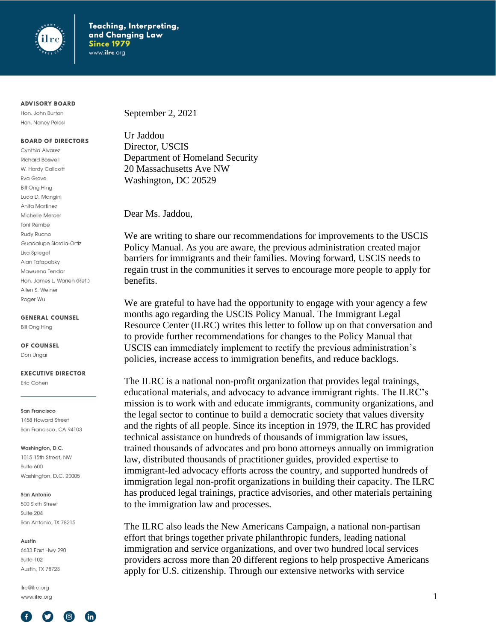

#### **ADVISORY BOARD**

Hon. John Burton Hon. Nancy Pelosi

#### **BOARD OF DIRECTORS**

Cynthia Alvarez **Richard Boswell** W. Hardy Callcott Eva Grove **Bill Ong Hing** Luca D. Mangini Anita Martinez Michelle Mercer **Toni Rembe** Rudy Ruano Guadalupe Siordia-Ortiz Lisa Spiegel Alan Tafapolsky Mawuena Tendar Hon. James L. Warren (Ret.) Allen S. Weiner Roger Wu

**GENERAL COUNSEL** 

**Bill Ong Hing** 

OF COUNSEL

Don Ungar

#### **EXECUTIVE DIRECTOR**

Eric Cohen

San Francisco 1458 Howard Street San Francisco, CA 94103

Washington, D.C.

1015 15th Street, NW Suite 600 Washington, D.C. 20005

#### San Antonio

500 Sixth Street Suite 204 San Antonio, TX 78215

#### Austin

6633 East Hwy 290 Suite 102 Austin, TX 78723

ilrc@ilrc.org www.ilrc.org



September 2, 2021

Ur Jaddou Director, USCIS Department of Homeland Security 20 Massachusetts Ave NW Washington, DC 20529

Dear Ms. Jaddou,

We are writing to share our recommendations for improvements to the USCIS Policy Manual. As you are aware, the previous administration created major barriers for immigrants and their families. Moving forward, USCIS needs to regain trust in the communities it serves to encourage more people to apply for benefits.

We are grateful to have had the opportunity to engage with your agency a few months ago regarding the USCIS Policy Manual. The Immigrant Legal Resource Center (ILRC) writes this letter to follow up on that conversation and to provide further recommendations for changes to the Policy Manual that USCIS can immediately implement to rectify the previous administration's policies, increase access to immigration benefits, and reduce backlogs.

The ILRC is a national non-profit organization that provides legal trainings, educational materials, and advocacy to advance immigrant rights. The ILRC's mission is to work with and educate immigrants, community organizations, and the legal sector to continue to build a democratic society that values diversity and the rights of all people. Since its inception in 1979, the ILRC has provided technical assistance on hundreds of thousands of immigration law issues, trained thousands of advocates and pro bono attorneys annually on immigration law, distributed thousands of practitioner guides, provided expertise to immigrant-led advocacy efforts across the country, and supported hundreds of immigration legal non-profit organizations in building their capacity. The ILRC has produced legal trainings, practice advisories, and other materials pertaining to the immigration law and processes.

The ILRC also leads the New Americans Campaign, a national non-partisan effort that brings together private philanthropic funders, leading national immigration and service organizations, and over two hundred local services providers across more than 20 different regions to help prospective Americans apply for U.S. citizenship. Through our extensive networks with service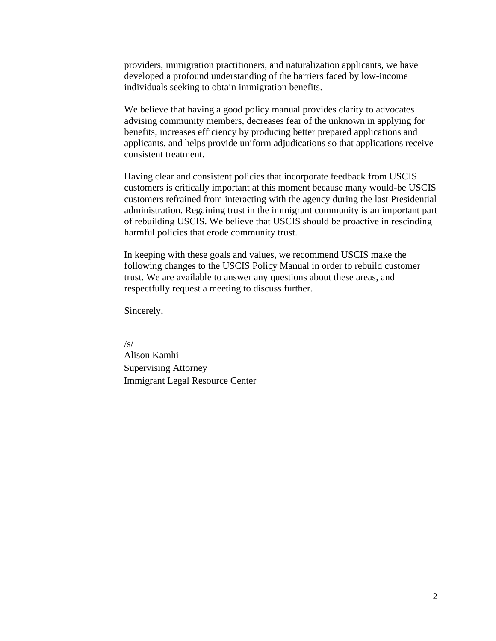providers, immigration practitioners, and naturalization applicants, we have developed a profound understanding of the barriers faced by low-income individuals seeking to obtain immigration benefits.

We believe that having a good policy manual provides clarity to advocates advising community members, decreases fear of the unknown in applying for benefits, increases efficiency by producing better prepared applications and applicants, and helps provide uniform adjudications so that applications receive consistent treatment.

Having clear and consistent policies that incorporate feedback from USCIS customers is critically important at this moment because many would-be USCIS customers refrained from interacting with the agency during the last Presidential administration. Regaining trust in the immigrant community is an important part of rebuilding USCIS. We believe that USCIS should be proactive in rescinding harmful policies that erode community trust.

In keeping with these goals and values, we recommend USCIS make the following changes to the USCIS Policy Manual in order to rebuild customer trust. We are available to answer any questions about these areas, and respectfully request a meeting to discuss further.

Sincerely,

/s/ Alison Kamhi Supervising Attorney Immigrant Legal Resource Center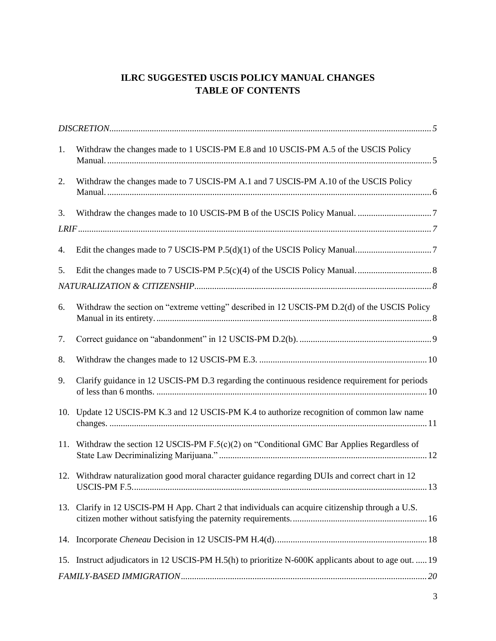# **ILRC SUGGESTED USCIS POLICY MANUAL CHANGES TABLE OF CONTENTS**

| 1.  | Withdraw the changes made to 1 USCIS-PM E.8 and 10 USCIS-PM A.5 of the USCIS Policy                   |
|-----|-------------------------------------------------------------------------------------------------------|
| 2.  | Withdraw the changes made to 7 USCIS-PM A.1 and 7 USCIS-PM A.10 of the USCIS Policy                   |
| 3.  |                                                                                                       |
|     |                                                                                                       |
| 4.  |                                                                                                       |
| 5.  |                                                                                                       |
|     |                                                                                                       |
| 6.  | Withdraw the section on "extreme vetting" described in 12 USCIS-PM D.2(d) of the USCIS Policy         |
| 7.  |                                                                                                       |
| 8.  |                                                                                                       |
| 9.  | Clarify guidance in 12 USCIS-PM D.3 regarding the continuous residence requirement for periods        |
|     | 10. Update 12 USCIS-PM K.3 and 12 USCIS-PM K.4 to authorize recognition of common law name            |
| 11. | Withdraw the section 12 USCIS-PM F.5(c)(2) on "Conditional GMC Bar Applies Regardless of              |
|     | 12. Withdraw naturalization good moral character guidance regarding DUIs and correct chart in 12      |
| 13. | Clarify in 12 USCIS-PM H App. Chart 2 that individuals can acquire citizenship through a U.S.         |
|     |                                                                                                       |
|     | 15. Instruct adjudicators in 12 USCIS-PM H.5(h) to prioritize N-600K applicants about to age out.  19 |
|     |                                                                                                       |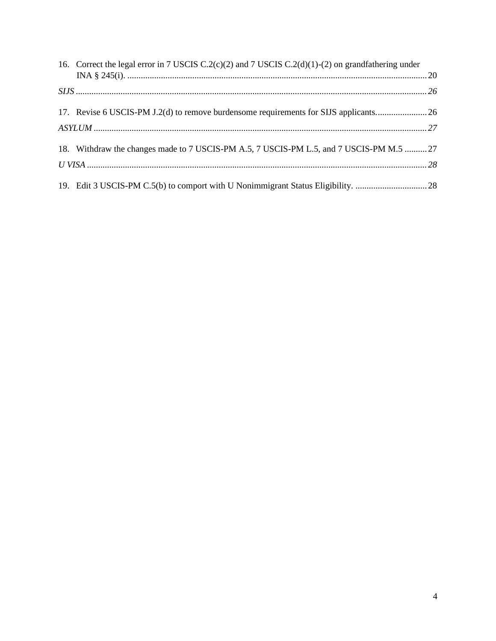| 16. Correct the legal error in 7 USCIS C.2(c)(2) and 7 USCIS C.2(d)(1)-(2) on grandfathering under |  |
|----------------------------------------------------------------------------------------------------|--|
|                                                                                                    |  |
|                                                                                                    |  |
| 18. Withdraw the changes made to 7 USCIS-PM A.5, 7 USCIS-PM L.5, and 7 USCIS-PM M.5  27            |  |
|                                                                                                    |  |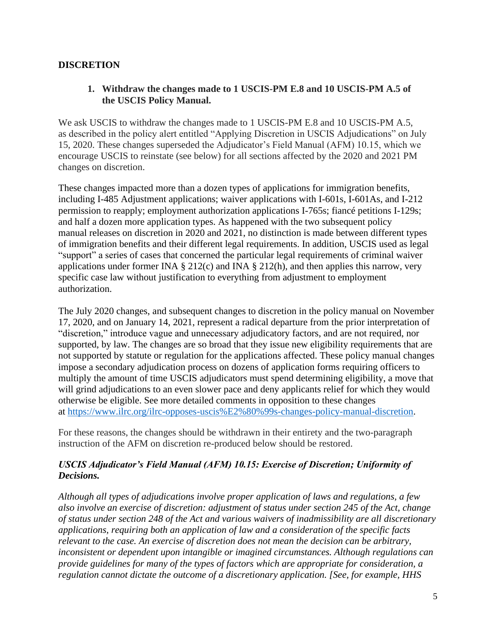## <span id="page-4-1"></span><span id="page-4-0"></span>**DISCRETION**

## **1. Withdraw the changes made to 1 USCIS-PM E.8 and 10 USCIS-PM A.5 of the USCIS Policy Manual.**

We ask USCIS to withdraw the changes made to 1 USCIS-PM E.8 and 10 USCIS-PM A.5, as described in the policy alert entitled "Applying Discretion in USCIS Adjudications" on July 15, 2020. These changes superseded the Adjudicator's Field Manual (AFM) 10.15, which we encourage USCIS to reinstate (see below) for all sections affected by the 2020 and 2021 PM changes on discretion.

These changes impacted more than a dozen types of applications for immigration benefits, including I-485 Adjustment applications; waiver applications with I-601s, I-601As, and I-212 permission to reapply; employment authorization applications I-765s; fiancé petitions I-129s; and half a dozen more application types. As happened with the two subsequent policy manual releases on discretion in 2020 and 2021, no distinction is made between different types of immigration benefits and their different legal requirements. In addition, USCIS used as legal "support" a series of cases that concerned the particular legal requirements of criminal waiver applications under former INA  $\S 212(c)$  and INA  $\S 212(h)$ , and then applies this narrow, very specific case law without justification to everything from adjustment to employment authorization.

The July 2020 changes, and subsequent changes to discretion in the policy manual on November 17, 2020, and on January 14, 2021, represent a radical departure from the prior interpretation of "discretion," introduce vague and unnecessary adjudicatory factors, and are not required, nor supported, by law. The changes are so broad that they issue new eligibility requirements that are not supported by statute or regulation for the applications affected. These policy manual changes impose a secondary adjudication process on dozens of application forms requiring officers to multiply the amount of time USCIS adjudicators must spend determining eligibility, a move that will grind adjudications to an even slower pace and deny applicants relief for which they would otherwise be eligible. See more detailed comments in opposition to these changes at [https://www.ilrc.org/ilrc-opposes-uscis%E2%80%99s-changes-policy-manual-discretion.](https://www.ilrc.org/ilrc-opposes-uscis%E2%80%99s-changes-policy-manual-discretion)

For these reasons, the changes should be withdrawn in their entirety and the two-paragraph instruction of the AFM on discretion re-produced below should be restored.

## *USCIS Adjudicator's Field Manual (AFM) 10.15: Exercise of Discretion; Uniformity of Decisions.*

*Although all types of adjudications involve proper application of laws and regulations, a few also involve an exercise of discretion: adjustment of status under section 245 of the Act, change of status under section 248 of the Act and various waivers of inadmissibility are all discretionary applications, requiring both an application of law and a consideration of the specific facts relevant to the case. An exercise of discretion does not mean the decision can be arbitrary, inconsistent or dependent upon intangible or imagined circumstances. Although regulations can provide guidelines for many of the types of factors which are appropriate for consideration, a regulation cannot dictate the outcome of a discretionary application. [See, for example, HHS*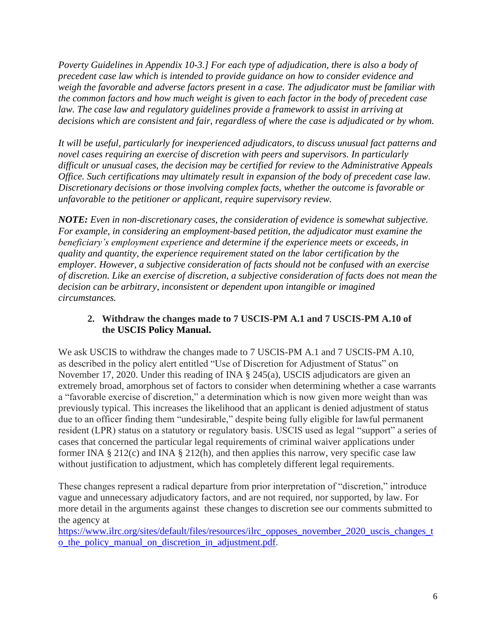*Poverty Guidelines in Appendix 10-3.] For each type of adjudication, there is also a body of precedent case law which is intended to provide guidance on how to consider evidence and weigh the favorable and adverse factors present in a case. The adjudicator must be familiar with the common factors and how much weight is given to each factor in the body of precedent case*  law. The case law and regulatory guidelines provide a framework to assist in arriving at *decisions which are consistent and fair, regardless of where the case is adjudicated or by whom.*

*It will be useful, particularly for inexperienced adjudicators, to discuss unusual fact patterns and novel cases requiring an exercise of discretion with peers and supervisors. In particularly difficult or unusual cases, the decision may be certified for review to the Administrative Appeals Office. Such certifications may ultimately result in expansion of the body of precedent case law. Discretionary decisions or those involving complex facts, whether the outcome is favorable or unfavorable to the petitioner or applicant, require supervisory review.*

*NOTE: Even in non-discretionary cases, the consideration of evidence is somewhat subjective. For example, in considering an employment-based petition, the adjudicator must examine the beneficiary's employment experience and determine if the experience meets or exceeds, in quality and quantity, the experience requirement stated on the labor certification by the employer. However, a subjective consideration of facts should not be confused with an exercise of discretion. Like an exercise of discretion, a subjective consideration of facts does not mean the decision can be arbitrary, inconsistent or dependent upon intangible or imagined circumstances.*

## <span id="page-5-0"></span>**2. Withdraw the changes made to 7 USCIS-PM A.1 and 7 USCIS-PM A.10 of the USCIS Policy Manual.**

We ask USCIS to withdraw the changes made to 7 USCIS-PM A.1 and 7 USCIS-PM A.10, as described in the policy alert entitled "Use of Discretion for Adjustment of Status" on November 17, 2020. Under this reading of INA § 245(a), USCIS adjudicators are given an extremely broad, amorphous set of factors to consider when determining whether a case warrants a "favorable exercise of discretion," a determination which is now given more weight than was previously typical. This increases the likelihood that an applicant is denied adjustment of status due to an officer finding them "undesirable," despite being fully eligible for lawful permanent resident (LPR) status on a statutory or regulatory basis. USCIS used as legal "support" a series of cases that concerned the particular legal requirements of criminal waiver applications under former INA  $\S 212(c)$  and INA  $\S 212(h)$ , and then applies this narrow, very specific case law without justification to adjustment, which has completely different legal requirements.

These changes represent a radical departure from prior interpretation of "discretion," introduce vague and unnecessary adjudicatory factors, and are not required, nor supported, by law. For more detail in the arguments against these changes to discretion see our comments submitted to the agency at

[https://www.ilrc.org/sites/default/files/resources/ilrc\\_opposes\\_november\\_2020\\_uscis\\_changes\\_t](https://www.ilrc.org/sites/default/files/resources/ilrc_opposes_november_2020_uscis_changes_to_the_policy_manual_on_discretion_in_adjustment.pdf)\_ [o\\_the\\_policy\\_manual\\_on\\_discretion\\_in\\_adjustment.pdf.](https://www.ilrc.org/sites/default/files/resources/ilrc_opposes_november_2020_uscis_changes_to_the_policy_manual_on_discretion_in_adjustment.pdf)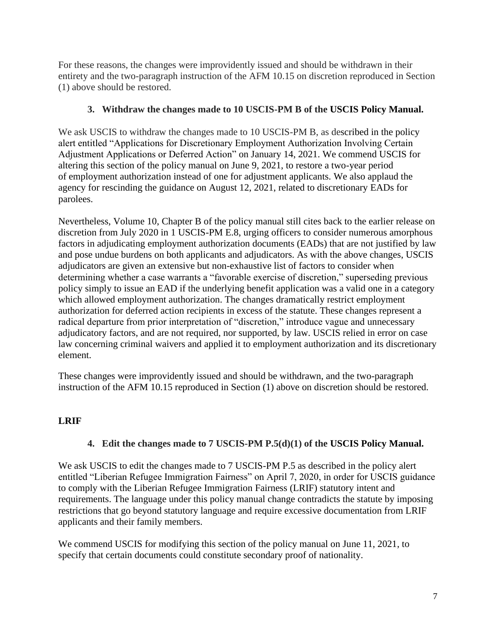For these reasons, the changes were improvidently issued and should be withdrawn in their entirety and the two-paragraph instruction of the AFM 10.15 on discretion reproduced in Section (1) above should be restored.

## **3. Withdraw the changes made to 10 USCIS-PM B of the USCIS Policy Manual.**

<span id="page-6-0"></span>We ask USCIS to withdraw the changes made to 10 USCIS-PM B, as described in the policy alert entitled "Applications for Discretionary Employment Authorization Involving Certain Adjustment Applications or Deferred Action" on January 14, 2021. We commend USCIS for altering this section of the policy manual on June 9, 2021, to restore a two-year period of employment authorization instead of one for adjustment applicants. We also applaud the agency for rescinding the guidance on August 12, 2021, related to discretionary EADs for parolees.

Nevertheless, Volume 10, Chapter B of the policy manual still cites back to the earlier release on discretion from July 2020 in 1 USCIS-PM E.8, urging officers to consider numerous amorphous factors in adjudicating employment authorization documents (EADs) that are not justified by law and pose undue burdens on both applicants and adjudicators. As with the above changes, USCIS adjudicators are given an extensive but non-exhaustive list of factors to consider when determining whether a case warrants a "favorable exercise of discretion," superseding previous policy simply to issue an EAD if the underlying benefit application was a valid one in a category which allowed employment authorization. The changes dramatically restrict employment authorization for deferred action recipients in excess of the statute. These changes represent a radical departure from prior interpretation of "discretion," introduce vague and unnecessary adjudicatory factors, and are not required, nor supported, by law. USCIS relied in error on case law concerning criminal waivers and applied it to employment authorization and its discretionary element.

These changes were improvidently issued and should be withdrawn, and the two-paragraph instruction of the AFM 10.15 reproduced in Section (1) above on discretion should be restored.

## <span id="page-6-1"></span>**LRIF**

## **4. Edit the changes made to 7 USCIS-PM P.5(d)(1) of the USCIS Policy Manual.**

<span id="page-6-2"></span>We ask USCIS to edit the changes made to 7 USCIS-PM P.5 as described in the policy alert entitled "Liberian Refugee Immigration Fairness" on April 7, 2020, in order for USCIS guidance to comply with the Liberian Refugee Immigration Fairness (LRIF) statutory intent and requirements. The language under this policy manual change contradicts the statute by imposing restrictions that go beyond statutory language and require excessive documentation from LRIF applicants and their family members.

We commend USCIS for modifying this section of the policy manual on June 11, 2021, to specify that certain documents could constitute secondary proof of nationality.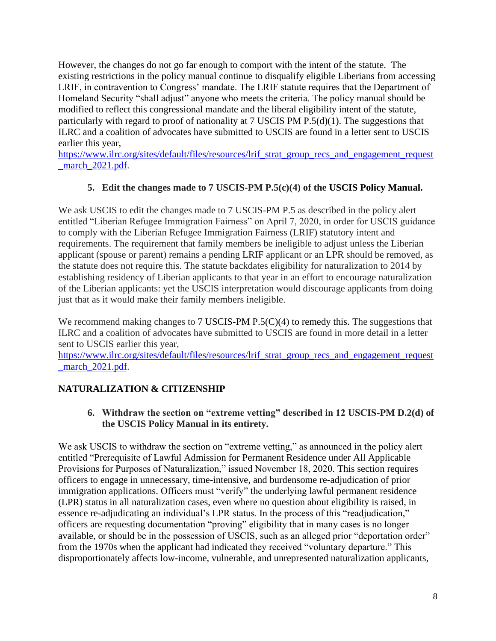However, the changes do not go far enough to comport with the intent of the statute. The existing restrictions in the policy manual continue to disqualify eligible Liberians from accessing LRIF, in contravention to Congress' mandate. The LRIF statute requires that the Department of Homeland Security "shall adjust" anyone who meets the criteria. The policy manual should be modified to reflect this congressional mandate and the liberal eligibility intent of the statute, particularly with regard to proof of nationality at 7 USCIS PM P.5(d)(1). The suggestions that ILRC and a coalition of advocates have submitted to USCIS are found in a letter sent to USCIS earlier this year,

[https://www.ilrc.org/sites/default/files/resources/lrif\\_strat\\_group\\_recs\\_and\\_engagement\\_request](https://www.ilrc.org/sites/default/files/resources/lrif_strat_group_recs_and_engagement_request_march_2021.pdf)\_ march 2021.pdf.

## **5. Edit the changes made to 7 USCIS-PM P.5(c)(4) of the USCIS Policy Manual.**

<span id="page-7-0"></span>We ask USCIS to edit the changes made to 7 USCIS-PM P.5 as described in the policy alert entitled "Liberian Refugee Immigration Fairness" on April 7, 2020, in order for USCIS guidance to comply with the Liberian Refugee Immigration Fairness (LRIF) statutory intent and requirements. The requirement that family members be ineligible to adjust unless the Liberian applicant (spouse or parent) remains a pending LRIF applicant or an LPR should be removed, as the statute does not require this. The statute backdates eligibility for naturalization to 2014 by establishing residency of Liberian applicants to that year in an effort to encourage naturalization of the Liberian applicants: yet the USCIS interpretation would discourage applicants from doing just that as it would make their family members ineligible.

We recommend making changes to 7 USCIS-PM P.5(C)(4) to remedy this. The suggestions that ILRC and a coalition of advocates have submitted to USCIS are found in more detail in a letter sent to USCIS earlier this year,

[https://www.ilrc.org/sites/default/files/resources/lrif\\_strat\\_group\\_recs\\_and\\_engagement\\_request](https://www.ilrc.org/sites/default/files/resources/lrif_strat_group_recs_and_engagement_request_march_2021.pdf) march 2021.pdf.

# <span id="page-7-2"></span><span id="page-7-1"></span>**NATURALIZATION & CITIZENSHIP**

**6. Withdraw the section on "extreme vetting" described in 12 USCIS-PM D.2(d) of the USCIS Policy Manual in its entirety.**

We ask USCIS to withdraw the section on "extreme vetting," as announced in the policy alert entitled "Prerequisite of Lawful Admission for Permanent Residence under All Applicable Provisions for Purposes of Naturalization," issued November 18, 2020. This section requires officers to engage in unnecessary, time-intensive, and burdensome re-adjudication of prior immigration applications. Officers must "verify" the underlying lawful permanent residence (LPR) status in all naturalization cases, even where no question about eligibility is raised, in essence re-adjudicating an individual's LPR status. In the process of this "readjudication," officers are requesting documentation "proving" eligibility that in many cases is no longer available, or should be in the possession of USCIS, such as an alleged prior "deportation order" from the 1970s when the applicant had indicated they received "voluntary departure." This disproportionately affects low-income, vulnerable, and unrepresented naturalization applicants,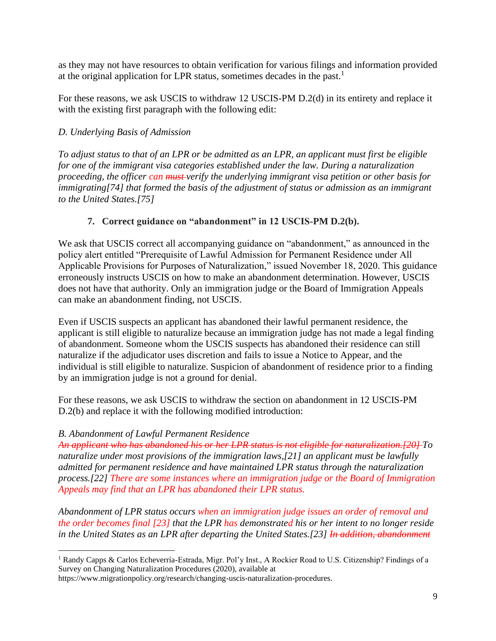as they may not have resources to obtain verification for various filings and information provided at the original application for LPR status, sometimes decades in the past.<sup>1</sup>

For these reasons, we ask USCIS to withdraw 12 USCIS-PM D.2(d) in its entirety and replace it with the existing first paragraph with the following edit:

## *D. Underlying Basis of Admission*

*To adjust status to that of an LPR or be admitted as an LPR, an applicant must first be eligible for one of the immigrant visa categories established under the law. During a naturalization proceeding, the officer can must verify the underlying immigrant visa petition or other basis for immigrating[74] that formed the basis of the adjustment of status or admission as an immigrant to the United States.[75]*

## **7. Correct guidance on "abandonment" in 12 USCIS-PM D.2(b).**

<span id="page-8-0"></span>We ask that USCIS correct all accompanying guidance on "abandonment," as announced in the policy alert entitled "Prerequisite of Lawful Admission for Permanent Residence under All Applicable Provisions for Purposes of Naturalization," issued November 18, 2020. This guidance erroneously instructs USCIS on how to make an abandonment determination. However, USCIS does not have that authority. Only an immigration judge or the Board of Immigration Appeals can make an abandonment finding, not USCIS.

Even if USCIS suspects an applicant has abandoned their lawful permanent residence, the applicant is still eligible to naturalize because an immigration judge has not made a legal finding of abandonment. Someone whom the USCIS suspects has abandoned their residence can still naturalize if the adjudicator uses discretion and fails to issue a Notice to Appear, and the individual is still eligible to naturalize. Suspicion of abandonment of residence prior to a finding by an immigration judge is not a ground for denial.

For these reasons, we ask USCIS to withdraw the section on abandonment in 12 USCIS-PM D.2(b) and replace it with the following modified introduction:

## *B. Abandonment of Lawful Permanent Residence*

*An applicant who has abandoned his or her LPR status is not eligible for naturalization.[20] To naturalize under most provisions of the immigration laws,[21] an applicant must be lawfully admitted for permanent residence and have maintained LPR status through the naturalization process.[22] There are some instances where an immigration judge or the Board of Immigration Appeals may find that an LPR has abandoned their LPR status.*

*Abandonment of LPR status occurs when an immigration judge issues an order of removal and the order becomes final [23] that the LPR has demonstrated his or her intent to no longer reside in the United States as an LPR after departing the United States.[23] In addition, abandonment* 

<sup>1</sup> Randy Capps & Carlos Echeverría-Estrada, Migr. Pol'y Inst., A Rockier Road to U.S. Citizenship? Findings of a Survey on Changing Naturalization Procedures (2020), available at

[https://www.migrationpolicy.org/research/changing-uscis-naturalization-procedures.](https://www.migrationpolicy.org/research/changing-uscis-naturalization-procedures)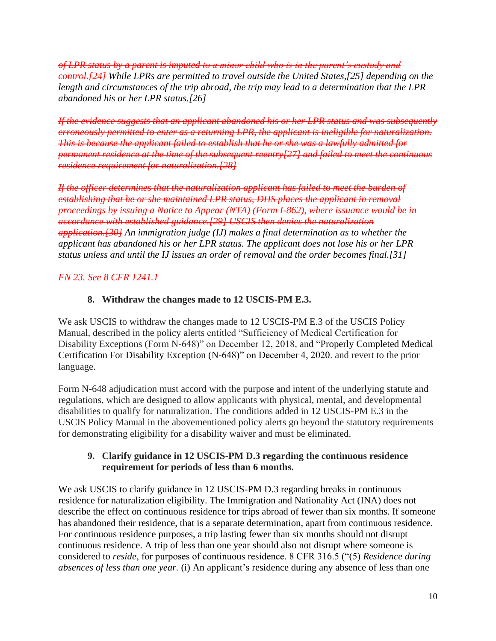*of LPR status by a parent is imputed to a minor child who is in the parent's custody and control.[24] While LPRs are permitted to travel outside the United States,[25] depending on the length and circumstances of the trip abroad, the trip may lead to a determination that the LPR abandoned his or her LPR status.[26]*

*If the evidence suggests that an applicant abandoned his or her LPR status and was subsequently erroneously permitted to enter as a returning LPR, the applicant is ineligible for naturalization. This is because the applicant failed to establish that he or she was a lawfully admitted for permanent residence at the time of the subsequent reentry[27] and failed to meet the continuous residence requirement for naturalization.[28]*

*If the officer determines that the naturalization applicant has failed to meet the burden of establishing that he or she maintained LPR status, DHS places the applicant in removal proceedings by issuing a Notice to Appear (NTA) (Form I-862), where issuance would be in accordance with established guidance.[29] USCIS then denies the naturalization application.[30] An immigration judge (IJ) makes a final determination as to whether the applicant has abandoned his or her LPR status. The applicant does not lose his or her LPR status unless and until the IJ issues an order of removal and the order becomes final.[31]*

## <span id="page-9-0"></span>*FN 23. See 8 CFR 1241.1*

### **8. Withdraw the changes made to 12 USCIS-PM E.3.**

We ask USCIS to withdraw the changes made to 12 USCIS-PM E.3 of the USCIS Policy Manual, described in the policy alerts entitled "Sufficiency of Medical Certification for Disability Exceptions (Form N-648)" on December 12, 2018, and "Properly Completed Medical Certification For Disability Exception (N-648)" on December 4, 2020. and revert to the prior language.

Form N-648 adjudication must accord with the purpose and intent of the underlying statute and regulations, which are designed to allow applicants with physical, mental, and developmental disabilities to qualify for naturalization. The conditions added in 12 USCIS-PM E.3 in the USCIS Policy Manual in the abovementioned policy alerts go beyond the statutory requirements for demonstrating eligibility for a disability waiver and must be eliminated.

### <span id="page-9-1"></span>**9. Clarify guidance in 12 USCIS-PM D.3 regarding the continuous residence requirement for periods of less than 6 months.**

We ask USCIS to clarify guidance in 12 USCIS-PM D.3 regarding breaks in continuous residence for naturalization eligibility. The Immigration and Nationality Act (INA) does not describe the effect on continuous residence for trips abroad of fewer than six months. If someone has abandoned their residence, that is a separate determination, apart from continuous residence. For continuous residence purposes, a trip lasting fewer than six months should not disrupt continuous residence. A trip of less than one year should also not disrupt where someone is considered to *reside*, for purposes of continuous residence. 8 CFR 316.5 ("(5) *Residence during absences of less than one year.* (i) An applicant's residence during any absence of less than one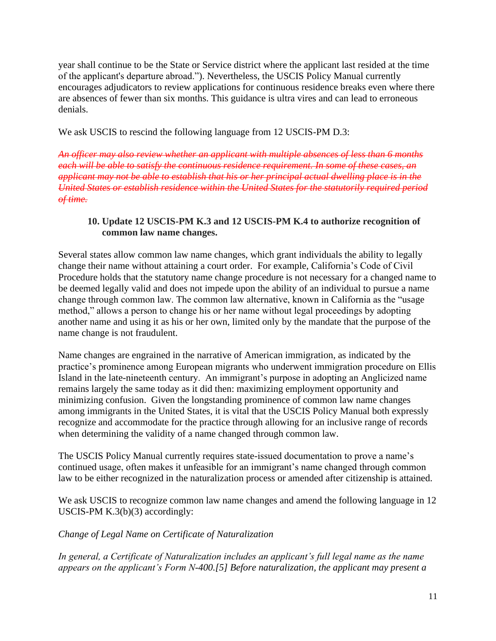year shall continue to be the State or Service district where the applicant last resided at the time of the applicant's departure abroad."). Nevertheless, the USCIS Policy Manual currently encourages adjudicators to review applications for continuous residence breaks even where there are absences of fewer than six months. This guidance is ultra vires and can lead to erroneous denials.

We ask USCIS to rescind the following language from 12 USCIS-PM D.3:

*An officer may also review whether an applicant with multiple absences of less than 6 months each will be able to satisfy the continuous residence requirement. In some of these cases, an applicant may not be able to establish that his or her principal actual dwelling place is in the United States or establish residence within the United States for the statutorily required period of time.*

#### <span id="page-10-0"></span>**10. Update 12 USCIS-PM K.3 and 12 USCIS-PM K.4 to authorize recognition of common law name changes.**

Several states allow common law name changes, which grant individuals the ability to legally change their name without attaining a court order. For example, California's Code of Civil Procedure holds that the statutory name change procedure is not necessary for a changed name to be deemed legally valid and does not impede upon the ability of an individual to pursue a name change through common law. The common law alternative, known in California as the "usage method," allows a person to change his or her name without legal proceedings by adopting another name and using it as his or her own, limited only by the mandate that the purpose of the name change is not fraudulent.

Name changes are engrained in the narrative of American immigration, as indicated by the practice's prominence among European migrants who underwent immigration procedure on Ellis Island in the late-nineteenth century. An immigrant's purpose in adopting an Anglicized name remains largely the same today as it did then: maximizing employment opportunity and minimizing confusion. Given the longstanding prominence of common law name changes among immigrants in the United States, it is vital that the USCIS Policy Manual both expressly recognize and accommodate for the practice through allowing for an inclusive range of records when determining the validity of a name changed through common law.

The USCIS Policy Manual currently requires state-issued documentation to prove a name's continued usage, often makes it unfeasible for an immigrant's name changed through common law to be either recognized in the naturalization process or amended after citizenship is attained.

We ask USCIS to recognize common law name changes and amend the following language in 12 USCIS-PM K.3(b)(3) accordingly:

*Change of Legal Name on Certificate of Naturalization*

*In general, a Certificate of Naturalization includes an applicant's full legal name as the name appears on the applicant's Form N-400.[5] Before naturalization, the applicant may present a*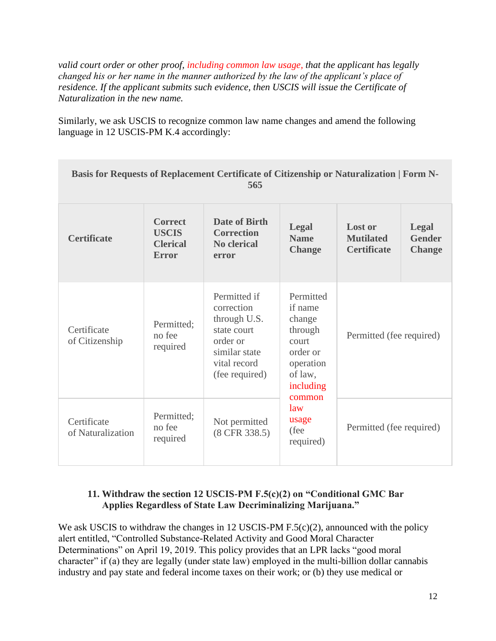*valid court order or other proof, including common law usage, that the applicant has legally changed his or her name in the manner authorized by the law of the applicant's place of residence. If the applicant submits such evidence, then USCIS will issue the Certificate of Naturalization in the new name.*

Similarly, we ask USCIS to recognize common law name changes and amend the following language in 12 USCIS-PM K.4 accordingly:

| Basis for Requests of Replacement Certificate of Citizenship or Naturalization   Form N-<br>565 |                                                                   |                                                                                                                          |                                                                                                            |                                                          |                                                |
|-------------------------------------------------------------------------------------------------|-------------------------------------------------------------------|--------------------------------------------------------------------------------------------------------------------------|------------------------------------------------------------------------------------------------------------|----------------------------------------------------------|------------------------------------------------|
| <b>Certificate</b>                                                                              | <b>Correct</b><br><b>USCIS</b><br><b>Clerical</b><br><b>Error</b> | Date of Birth<br><b>Correction</b><br><b>No clerical</b><br>error                                                        | <b>Legal</b><br><b>Name</b><br><b>Change</b>                                                               | <b>Lost or</b><br><b>Mutilated</b><br><b>Certificate</b> | <b>Legal</b><br><b>Gender</b><br><b>Change</b> |
| Certificate<br>of Citizenship                                                                   | Permitted:<br>no fee<br>required                                  | Permitted if<br>correction<br>through U.S.<br>state court<br>order or<br>similar state<br>vital record<br>(fee required) | Permitted<br>if name<br>change<br>through<br><b>court</b><br>order or<br>operation<br>of law,<br>including | Permitted (fee required)                                 |                                                |
| Certificate<br>of Naturalization                                                                | Permitted;<br>no fee<br>required                                  | Not permitted<br>(8 CFR 338.5)                                                                                           | common<br>$\lambda$<br>usage<br>(fee<br>required)                                                          | Permitted (fee required)                                 |                                                |

### <span id="page-11-0"></span>**11. Withdraw the section 12 USCIS-PM F.5(c)(2) on "Conditional GMC Bar Applies Regardless of State Law Decriminalizing Marijuana."**

We ask USCIS to withdraw the changes in 12 USCIS-PM F.5(c)(2), announced with the policy alert entitled, "Controlled Substance-Related Activity and Good Moral Character Determinations" on April 19, 2019. This policy provides that an LPR lacks "good moral character" if (a) they are legally (under state law) employed in the multi-billion dollar cannabis industry and pay state and federal income taxes on their work; or (b) they use medical or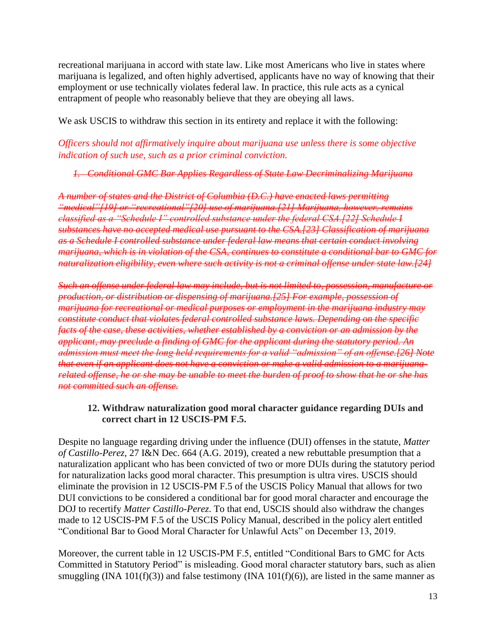recreational marijuana in accord with state law. Like most Americans who live in states where marijuana is legalized, and often highly advertised, applicants have no way of knowing that their employment or use technically violates federal law. In practice, this rule acts as a cynical entrapment of people who reasonably believe that they are obeying all laws.

We ask USCIS to withdraw this section in its entirety and replace it with the following:

*Officers should not affirmatively inquire about marijuana use unless there is some objective indication of such use, such as a prior criminal conviction.*

*1. Conditional GMC Bar Applies Regardless of State Law Decriminalizing Marijuana*

*A number of states and the District of Columbia (D.C.) have enacted laws permitting "medical"[19] or "recreational"[20] use of marijuana.[21] Marijuana, however, remains classified as a "Schedule I" controlled substance under the federal CSA.[22] Schedule I substances have no accepted medical use pursuant to the CSA.[23] Classification of marijuana as a Schedule I controlled substance under federal law means that certain conduct involving marijuana, which is in violation of the CSA, continues to constitute a conditional bar to GMC for naturalization eligibility, even where such activity is not a criminal offense under state law.[24]*

*Such an offense under federal law may include, but is not limited to, possession, manufacture or production, or distribution or dispensing of marijuana.[25] For example, possession of marijuana for recreational or medical purposes or employment in the marijuana industry may constitute conduct that violates federal controlled substance laws. Depending on the specific facts of the case, these activities, whether established by a conviction or an admission by the applicant, may preclude a finding of GMC for the applicant during the statutory period. An admission must meet the long held requirements for a valid "admission" of an offense.[26] Note that even if an applicant does not have a conviction or make a valid admission to a marijuanarelated offense, he or she may be unable to meet the burden of proof to show that he or she has not committed such an offense.*

#### <span id="page-12-0"></span>**12. Withdraw naturalization good moral character guidance regarding DUIs and correct chart in 12 USCIS-PM F.5.**

Despite no language regarding driving under the influence (DUI) offenses in the statute, *Matter of Castillo-Perez,* 27 I&N Dec. 664 (A.G. 2019), created a new rebuttable presumption that a naturalization applicant who has been convicted of two or more DUIs during the statutory period for naturalization lacks good moral character. This presumption is ultra vires. USCIS should eliminate the provision in 12 USCIS-PM F.5 of the USCIS Policy Manual that allows for two DUI convictions to be considered a conditional bar for good moral character and encourage the DOJ to recertify *Matter Castillo-Perez*. To that end, USCIS should also withdraw the changes made to 12 USCIS-PM F.5 of the USCIS Policy Manual, described in the policy alert entitled "Conditional Bar to Good Moral Character for Unlawful Acts" on December 13, 2019.

Moreover, the current table in 12 USCIS-PM F.5, entitled "Conditional Bars to GMC for Acts Committed in Statutory Period" is misleading. Good moral character statutory bars, such as alien smuggling (INA 101(f)(3)) and false testimony (INA 101(f)(6)), are listed in the same manner as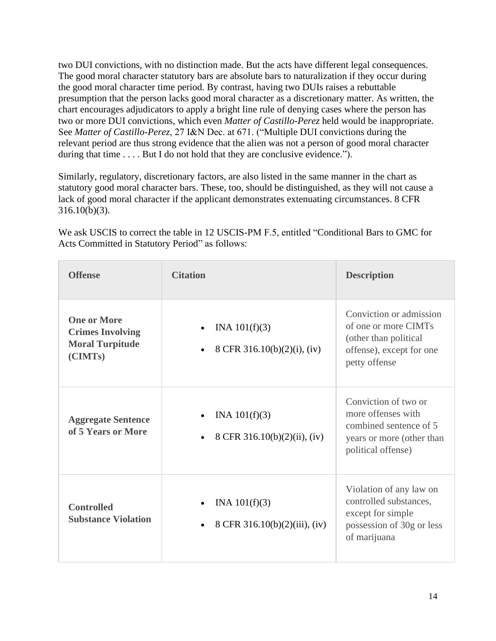two DUI convictions, with no distinction made. But the acts have different legal consequences. The good moral character statutory bars are absolute bars to naturalization if they occur during the good moral character time period. By contrast, having two DUIs raises a rebuttable presumption that the person lacks good moral character as a discretionary matter. As written, the chart encourages adjudicators to apply a bright line rule of denying cases where the person has two or more DUI convictions, which even *Matter of Castillo-Perez* held would be inappropriate. See *Matter of Castillo-Perez*, 27 I&N Dec. at 671. ("Multiple DUI convictions during the relevant period are thus strong evidence that the alien was not a person of good moral character during that time . . . . But I do not hold that they are conclusive evidence.").

Similarly, regulatory, discretionary factors, are also listed in the same manner in the chart as statutory good moral character bars. These, too, should be distinguished, as they will not cause a lack of good moral character if the applicant demonstrates extenuating circumstances. 8 CFR  $316.10(b)(3)$ .

We ask USCIS to correct the table in 12 USCIS-PM F.5, entitled "Conditional Bars to GMC for Acts Committed in Statutory Period" as follows:

| <b>Offense</b>                                                                     | <b>Citation</b>                                               | <b>Description</b>                                                                                                      |
|------------------------------------------------------------------------------------|---------------------------------------------------------------|-------------------------------------------------------------------------------------------------------------------------|
| <b>One or More</b><br><b>Crimes Involving</b><br><b>Moral Turpitude</b><br>(CIMTs) | INA $101(f)(3)$<br>$\bullet$<br>8 CFR 316.10(b)(2)(i), (iv)   | Conviction or admission<br>of one or more CIMTs<br>(other than political<br>offense), except for one<br>petty offense   |
| <b>Aggregate Sentence</b><br>of 5 Years or More                                    | INA $101(f)(3)$<br>8 CFR 316.10(b)(2)(ii), (iv)               | Conviction of two or<br>more offenses with<br>combined sentence of 5<br>years or more (other than<br>political offense) |
| <b>Controlled</b><br><b>Substance Violation</b>                                    | INA $101(f)(3)$<br>8 CFR 316.10(b)(2)(iii), (iv)<br>$\bullet$ | Violation of any law on<br>controlled substances,<br>except for simple<br>possession of 30g or less<br>of marijuana     |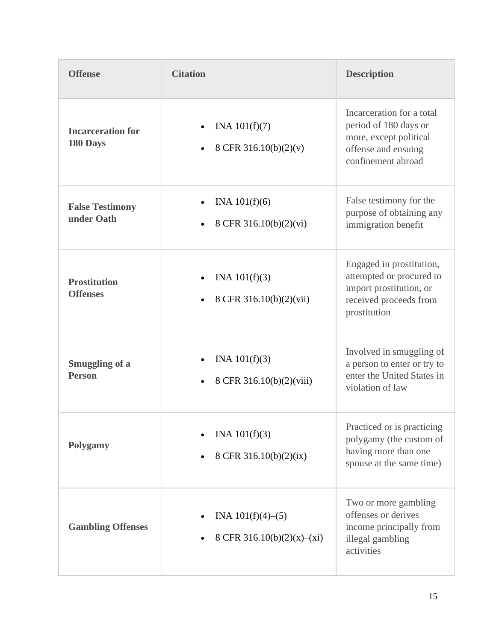| <b>Offense</b>                         | <b>Citation</b>                                       | <b>Description</b>                                                                                                        |
|----------------------------------------|-------------------------------------------------------|---------------------------------------------------------------------------------------------------------------------------|
| <b>Incarceration for</b><br>180 Days   | INA $101(f)(7)$<br>8 CFR 316.10(b)(2)(v)              | Incarceration for a total<br>period of 180 days or<br>more, except political<br>offense and ensuing<br>confinement abroad |
| <b>False Testimony</b><br>under Oath   | INA $101(f)(6)$<br>8 CFR 316.10(b)(2)(vi)             | False testimony for the<br>purpose of obtaining any<br>immigration benefit                                                |
| <b>Prostitution</b><br><b>Offenses</b> | INA $101(f)(3)$<br>8 CFR 316.10(b)(2)(vii)            | Engaged in prostitution,<br>attempted or procured to<br>import prostitution, or<br>received proceeds from<br>prostitution |
| <b>Smuggling of a</b><br><b>Person</b> | INA $101(f)(3)$<br>8 CFR 316.10(b)(2)(viii)           | Involved in smuggling of<br>a person to enter or try to<br>enter the United States in<br>violation of law                 |
| Polygamy                               | INA $101(f)(3)$<br>8 CFR 316.10(b)(2)(ix)             | Practiced or is practicing<br>polygamy (the custom of<br>having more than one<br>spouse at the same time)                 |
| <b>Gambling Offenses</b>               | INA $101(f)(4)$ – $(5)$<br>8 CFR 316.10(b)(2)(x)–(xi) | Two or more gambling<br>offenses or derives<br>income principally from<br>illegal gambling<br>activities                  |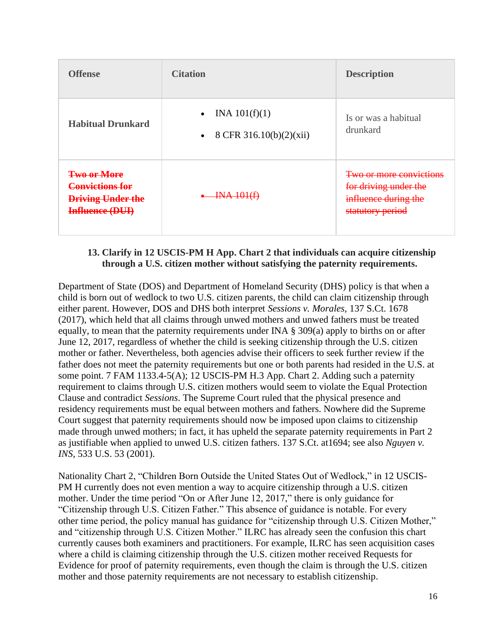| <b>Offense</b>                                                                                         | <b>Citation</b>                                                      | <b>Description</b>                                                                           |
|--------------------------------------------------------------------------------------------------------|----------------------------------------------------------------------|----------------------------------------------------------------------------------------------|
| <b>Habitual Drunkard</b>                                                                               | INA $101(f)(1)$<br>$\bullet$<br>8 CFR 316.10(b)(2)(xii)<br>$\bullet$ | Is or was a habitual<br>drunkard                                                             |
| <b>Two or More</b><br><del>Convictions for</del><br><b>Driving Under the</b><br><b>Influence (DUI)</b> | <b>INA 101(f)</b>                                                    | Two or more convictions<br>for driving under the<br>influence during the<br>statutory period |

#### <span id="page-15-0"></span>**13. Clarify in 12 USCIS-PM H App. Chart 2 that individuals can acquire citizenship through a U.S. citizen mother without satisfying the paternity requirements.**

Department of State (DOS) and Department of Homeland Security (DHS) policy is that when a child is born out of wedlock to two U.S. citizen parents, the child can claim citizenship through either parent. However, DOS and DHS both interpret *Sessions v. Morales,* 137 S.Ct. 1678 (2017), which held that all claims through unwed mothers and unwed fathers must be treated equally, to mean that the paternity requirements under INA § 309(a) apply to births on or after June 12, 2017, regardless of whether the child is seeking citizenship through the U.S. citizen mother or father. Nevertheless, both agencies advise their officers to seek further review if the father does not meet the paternity requirements but one or both parents had resided in the U.S. at some point. 7 FAM 1133.4-5(A); 12 USCIS-PM H.3 App. Chart 2. Adding such a paternity requirement to claims through U.S. citizen mothers would seem to violate the Equal Protection Clause and contradict *Sessions*. The Supreme Court ruled that the physical presence and residency requirements must be equal between mothers and fathers. Nowhere did the Supreme Court suggest that paternity requirements should now be imposed upon claims to citizenship made through unwed mothers; in fact, it has upheld the separate paternity requirements in Part 2 as justifiable when applied to unwed U.S. citizen fathers. 137 S.Ct. at1694; see also *Nguyen v. INS*, 533 U.S. 53 (2001).

Nationality Chart 2, "Children Born Outside the United States Out of Wedlock," in 12 USCIS-PM H currently does not even mention a way to acquire citizenship through a U.S. citizen mother. Under the time period "On or After June 12, 2017," there is only guidance for "Citizenship through U.S. Citizen Father." This absence of guidance is notable. For every other time period, the policy manual has guidance for "citizenship through U.S. Citizen Mother," and "citizenship through U.S. Citizen Mother." ILRC has already seen the confusion this chart currently causes both examiners and practitioners. For example, ILRC has seen acquisition cases where a child is claiming citizenship through the U.S. citizen mother received Requests for Evidence for proof of paternity requirements, even though the claim is through the U.S. citizen mother and those paternity requirements are not necessary to establish citizenship.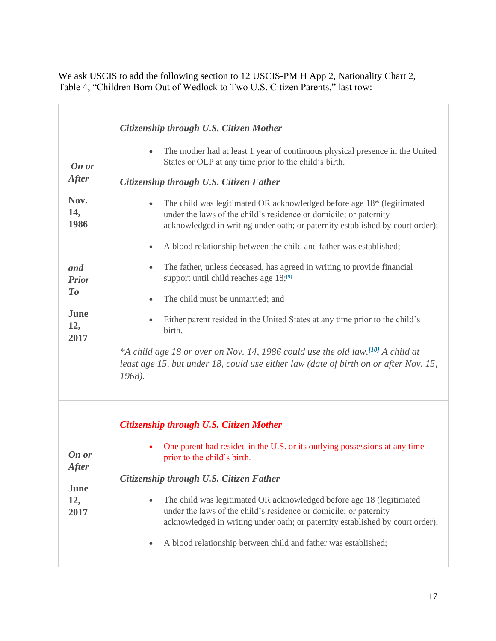We ask USCIS to add the following section to 12 USCIS-PM H App 2, Nationality Chart 2, Table 4, "Children Born Out of Wedlock to Two U.S. Citizen Parents," last row:

| Citizenship through U.S. Citizen Mother<br>The mother had at least 1 year of continuous physical presence in the United<br>States or OLP at any time prior to the child's birth.<br>Citizenship through U.S. Citizen Father<br>The child was legitimated OR acknowledged before age 18* (legitimated                                                                        |
|-----------------------------------------------------------------------------------------------------------------------------------------------------------------------------------------------------------------------------------------------------------------------------------------------------------------------------------------------------------------------------|
| under the laws of the child's residence or domicile; or paternity<br>acknowledged in writing under oath; or paternity established by court order);<br>A blood relationship between the child and father was established;<br>$\bullet$                                                                                                                                       |
| The father, unless deceased, has agreed in writing to provide financial<br>support until child reaches age 18; <sup>[9]</sup><br>The child must be unmarried; and<br>Either parent resided in the United States at any time prior to the child's                                                                                                                            |
| birth.<br>*A child age 18 or over on Nov. 14, 1986 could use the old law. <sup>[10]</sup> A child at<br>least age 15, but under 18, could use either law (date of birth on or after Nov. 15,<br>1968).                                                                                                                                                                      |
| Citizenship through U.S. Citizen Mother<br>One parent had resided in the U.S. or its outlying possessions at any time                                                                                                                                                                                                                                                       |
| prior to the child's birth.<br>Citizenship through U.S. Citizen Father<br>The child was legitimated OR acknowledged before age 18 (legitimated<br>under the laws of the child's residence or domicile; or paternity<br>acknowledged in writing under oath; or paternity established by court order);<br>A blood relationship between child and father was established;<br>٠ |
|                                                                                                                                                                                                                                                                                                                                                                             |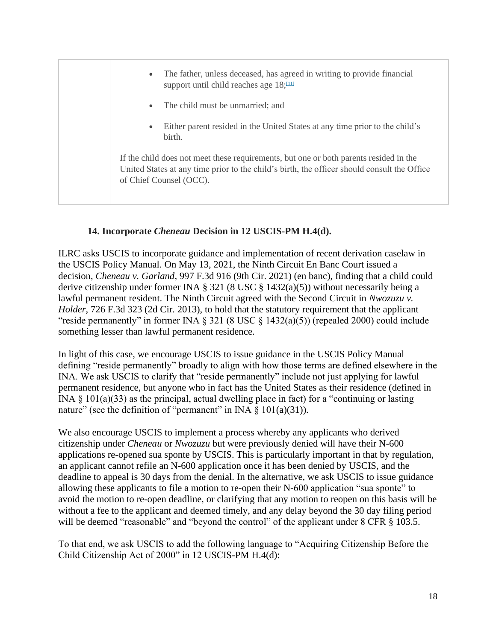• The father, unless deceased, has agreed in writing to provide financial support until child reaches age  $18;111$ The child must be unmarried; and • Either parent resided in the United States at any time prior to the child's birth. If the child does not meet these requirements, but one or both parents resided in the United States at any time prior to the child's birth, the officer should consult the Office of Chief Counsel (OCC).

## **14. Incorporate** *Cheneau* **Decision in 12 USCIS-PM H.4(d).**

<span id="page-17-0"></span>ILRC asks USCIS to incorporate guidance and implementation of recent derivation caselaw in the USCIS Policy Manual. On May 13, 2021, the Ninth Circuit En Banc Court issued a decision, *Cheneau v. Garland*, 997 F.3d 916 (9th Cir. 2021) (en banc), finding that a child could derive citizenship under former INA § 321 (8 USC § 1432(a)(5)) without necessarily being a lawful permanent resident. The Ninth Circuit agreed with the Second Circuit in *Nwozuzu v. Holder*, 726 F.3d 323 (2d Cir. 2013), to hold that the statutory requirement that the applicant "reside permanently" in former INA  $\S 321 (8 \text{ USC} \S 1432(a)(5))$  (repealed 2000) could include something lesser than lawful permanent residence.

In light of this case, we encourage USCIS to issue guidance in the USCIS Policy Manual defining "reside permanently" broadly to align with how those terms are defined elsewhere in the INA. We ask USCIS to clarify that "reside permanently" include not just applying for lawful permanent residence, but anyone who in fact has the United States as their residence (defined in INA § 101(a)(33) as the principal, actual dwelling place in fact) for a "continuing or lasting nature" (see the definition of "permanent" in INA  $\S$  101(a)(31)).

We also encourage USCIS to implement a process whereby any applicants who derived citizenship under *Cheneau* or *Nwozuzu* but were previously denied will have their N-600 applications re-opened sua sponte by USCIS. This is particularly important in that by regulation, an applicant cannot refile an N-600 application once it has been denied by USCIS, and the deadline to appeal is 30 days from the denial. In the alternative, we ask USCIS to issue guidance allowing these applicants to file a motion to re-open their N-600 application "sua sponte" to avoid the motion to re-open deadline, or clarifying that any motion to reopen on this basis will be without a fee to the applicant and deemed timely, and any delay beyond the 30 day filing period will be deemed "reasonable" and "beyond the control" of the applicant under 8 CFR § 103.5.

To that end, we ask USCIS to add the following language to "Acquiring Citizenship Before the Child Citizenship Act of 2000" in 12 USCIS-PM H.4(d):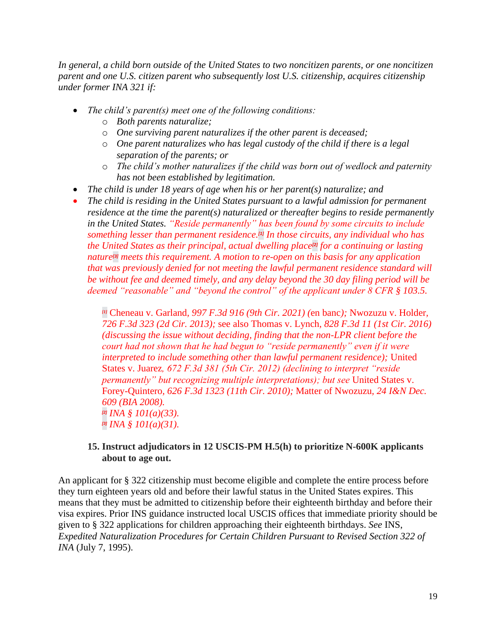*In general, a child born outside of the United States to two [noncitizen](https://www.uscis.gov/policy-manual/volume-12-part-h-chapter-4) parents, or one noncitizen parent and one U.S. citizen parent who subsequently lost U.S. citizenship, acquires citizenship under former INA 321 if:*

- *The child's parent(s) meet one of the following conditions:*
	- o *Both parents naturalize;*
	- o *One surviving parent naturalizes if the other parent is deceased;*
	- o *One parent naturalizes who has legal custody of the child if there is a legal separation of the parents; or*
	- o *The child's mother naturalizes if the child was born out of wedlock and paternity has not been established by legitimation.*
- *The child is under 18 years of age when his or her parent(s) naturalize; and*
- *The child is residing in the United States pursuant to a lawful admission for permanent residence at the time the parent(s) naturalized or thereafter begins to reside permanently in the United States. "Reside permanently" has been found by some circuits to include something lesser than permanent residence.[\[1\]](https://usc-word-edit.officeapps.live.com/we/wordeditorframe.aspx?ui=en%2DUS&rs=en%2DUS&wopisrc=https%3A%2F%2Filrc1663-my.sharepoint.com%2Fpersonal%2Fakamhi_ilrc_org%2F_vti_bin%2Fwopi.ashx%2Ffiles%2F1515d3cdbdad4153a88ef9b58c4ddc23&wdlor=c6E36DDBE-ECD5-42D5-9CEF-CA96EB39A36B&wdenableroaming=1&mscc=1&wdodb=1&hid=00000000-0000-0000-0000-000000000000&wdorigin=Outlook-Body&wdhostclicktime=1625777690443&jsapi=1&jsapiver=v1&newsession=1&corrid=a48076b6-aacc-af49-dbfa-633fd06d6722&usid=a48076b6-aacc-af49-dbfa-633fd06d6722&sftc=1&mtf=1&sfp=1&instantedit=1&wopicomplete=1&wdredirectionreason=Unified_SingleFlush&preseededsessionkey=5da47c60-3027-9717-8a2b-c9070ec1e037&preseededwacsessionid=a48076b6-aacc-af49-dbfa-633fd06d6722&rct=Medium&ctp=LeastProtected#_ftn1) In those circuits, any individual who has the United States as their principal, actual dwelling place[\[2\]](https://usc-word-edit.officeapps.live.com/we/wordeditorframe.aspx?ui=en%2DUS&rs=en%2DUS&wopisrc=https%3A%2F%2Filrc1663-my.sharepoint.com%2Fpersonal%2Fakamhi_ilrc_org%2F_vti_bin%2Fwopi.ashx%2Ffiles%2F1515d3cdbdad4153a88ef9b58c4ddc23&wdlor=c6E36DDBE-ECD5-42D5-9CEF-CA96EB39A36B&wdenableroaming=1&mscc=1&wdodb=1&hid=00000000-0000-0000-0000-000000000000&wdorigin=Outlook-Body&wdhostclicktime=1625777690443&jsapi=1&jsapiver=v1&newsession=1&corrid=a48076b6-aacc-af49-dbfa-633fd06d6722&usid=a48076b6-aacc-af49-dbfa-633fd06d6722&sftc=1&mtf=1&sfp=1&instantedit=1&wopicomplete=1&wdredirectionreason=Unified_SingleFlush&preseededsessionkey=5da47c60-3027-9717-8a2b-c9070ec1e037&preseededwacsessionid=a48076b6-aacc-af49-dbfa-633fd06d6722&rct=Medium&ctp=LeastProtected#_ftn2) for a continuing or lasting nature[\[3\]](https://usc-word-edit.officeapps.live.com/we/wordeditorframe.aspx?ui=en%2DUS&rs=en%2DUS&wopisrc=https%3A%2F%2Filrc1663-my.sharepoint.com%2Fpersonal%2Fakamhi_ilrc_org%2F_vti_bin%2Fwopi.ashx%2Ffiles%2F1515d3cdbdad4153a88ef9b58c4ddc23&wdlor=c6E36DDBE-ECD5-42D5-9CEF-CA96EB39A36B&wdenableroaming=1&mscc=1&wdodb=1&hid=00000000-0000-0000-0000-000000000000&wdorigin=Outlook-Body&wdhostclicktime=1625777690443&jsapi=1&jsapiver=v1&newsession=1&corrid=a48076b6-aacc-af49-dbfa-633fd06d6722&usid=a48076b6-aacc-af49-dbfa-633fd06d6722&sftc=1&mtf=1&sfp=1&instantedit=1&wopicomplete=1&wdredirectionreason=Unified_SingleFlush&preseededsessionkey=5da47c60-3027-9717-8a2b-c9070ec1e037&preseededwacsessionid=a48076b6-aacc-af49-dbfa-633fd06d6722&rct=Medium&ctp=LeastProtected#_ftn3) meets this requirement. A motion to re-open on this basis for any application that was previously denied for not meeting the lawful permanent residence standard will be without fee and deemed timely, and any delay beyond the 30 day filing period will be deemed "reasonable" and "beyond the control" of the applicant under 8 CFR § 103.5.*

*[\[1\]](https://usc-word-edit.officeapps.live.com/we/wordeditorframe.aspx?ui=en%2DUS&rs=en%2DUS&wopisrc=https%3A%2F%2Filrc1663-my.sharepoint.com%2Fpersonal%2Fakamhi_ilrc_org%2F_vti_bin%2Fwopi.ashx%2Ffiles%2F1515d3cdbdad4153a88ef9b58c4ddc23&wdlor=c6E36DDBE-ECD5-42D5-9CEF-CA96EB39A36B&wdenableroaming=1&mscc=1&wdodb=1&hid=00000000-0000-0000-0000-000000000000&wdorigin=Outlook-Body&wdhostclicktime=1625777690443&jsapi=1&jsapiver=v1&newsession=1&corrid=a48076b6-aacc-af49-dbfa-633fd06d6722&usid=a48076b6-aacc-af49-dbfa-633fd06d6722&sftc=1&mtf=1&sfp=1&instantedit=1&wopicomplete=1&wdredirectionreason=Unified_SingleFlush&preseededsessionkey=5da47c60-3027-9717-8a2b-c9070ec1e037&preseededwacsessionid=a48076b6-aacc-af49-dbfa-633fd06d6722&rct=Medium&ctp=LeastProtected#_ftnref1)* Cheneau v. Garland*, 997 F.3d 916 (9th Cir. 2021) (*en banc*);* Nwozuzu v. Holder*, 726 F.3d 323 (2d Cir. 2013);* see also Thomas v. Lynch*, 828 F.3d 11 (1st Cir. 2016) (discussing the issue without deciding, finding that the non-LPR client before the court had not shown that he had begun to "reside permanently" even if it were interpreted to include something other than lawful permanent residence);* United States v. Juarez*, 672 F.3d 381 (5th Cir. 2012) (declining to interpret "reside permanently" but recognizing multiple interpretations); but see* United States v. Forey-Quintero*, 626 F.3d 1323 (11th Cir. 2010);* Matter of Nwozuzu*, 24 I&N Dec. 609 (BIA 2008). [\[2\]](https://usc-word-edit.officeapps.live.com/we/wordeditorframe.aspx?ui=en%2DUS&rs=en%2DUS&wopisrc=https%3A%2F%2Filrc1663-my.sharepoint.com%2Fpersonal%2Fakamhi_ilrc_org%2F_vti_bin%2Fwopi.ashx%2Ffiles%2F1515d3cdbdad4153a88ef9b58c4ddc23&wdlor=c6E36DDBE-ECD5-42D5-9CEF-CA96EB39A36B&wdenableroaming=1&mscc=1&wdodb=1&hid=00000000-0000-0000-0000-000000000000&wdorigin=Outlook-Body&wdhostclicktime=1625777690443&jsapi=1&jsapiver=v1&newsession=1&corrid=a48076b6-aacc-af49-dbfa-633fd06d6722&usid=a48076b6-aacc-af49-dbfa-633fd06d6722&sftc=1&mtf=1&sfp=1&instantedit=1&wopicomplete=1&wdredirectionreason=Unified_SingleFlush&preseededsessionkey=5da47c60-3027-9717-8a2b-c9070ec1e037&preseededwacsessionid=a48076b6-aacc-af49-dbfa-633fd06d6722&rct=Medium&ctp=LeastProtected#_ftnref2) INA § 101(a)(33). [\[3\]](https://usc-word-edit.officeapps.live.com/we/wordeditorframe.aspx?ui=en%2DUS&rs=en%2DUS&wopisrc=https%3A%2F%2Filrc1663-my.sharepoint.com%2Fpersonal%2Fakamhi_ilrc_org%2F_vti_bin%2Fwopi.ashx%2Ffiles%2F1515d3cdbdad4153a88ef9b58c4ddc23&wdlor=c6E36DDBE-ECD5-42D5-9CEF-CA96EB39A36B&wdenableroaming=1&mscc=1&wdodb=1&hid=00000000-0000-0000-0000-000000000000&wdorigin=Outlook-Body&wdhostclicktime=1625777690443&jsapi=1&jsapiver=v1&newsession=1&corrid=a48076b6-aacc-af49-dbfa-633fd06d6722&usid=a48076b6-aacc-af49-dbfa-633fd06d6722&sftc=1&mtf=1&sfp=1&instantedit=1&wopicomplete=1&wdredirectionreason=Unified_SingleFlush&preseededsessionkey=5da47c60-3027-9717-8a2b-c9070ec1e037&preseededwacsessionid=a48076b6-aacc-af49-dbfa-633fd06d6722&rct=Medium&ctp=LeastProtected#_ftnref3) INA § 101(a)(31).*

#### <span id="page-18-0"></span>**15. Instruct adjudicators in 12 USCIS-PM H.5(h) to prioritize N-600K applicants about to age out.**

An applicant for § 322 citizenship must become eligible and complete the entire process before they turn eighteen years old and before their lawful status in the United States expires. This means that they must be admitted to citizenship before their eighteenth birthday and before their visa expires. Prior INS guidance instructed local USCIS offices that immediate priority should be given to § 322 applications for children approaching their eighteenth birthdays. *See* INS, *Expedited Naturalization Procedures for Certain Children Pursuant to Revised Section 322 of INA* (July 7, 1995).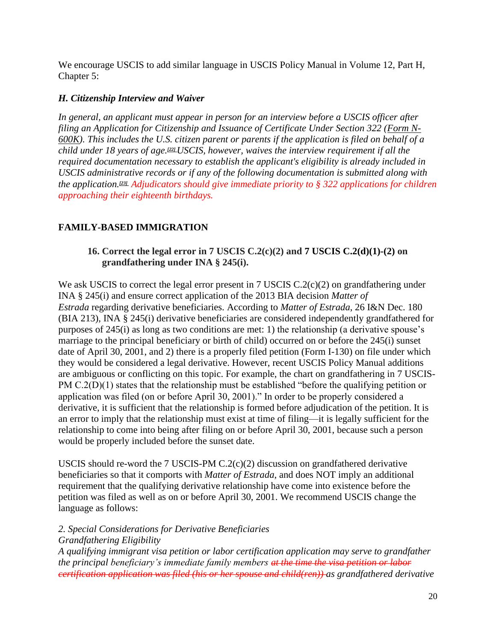We encourage USCIS to add similar language in USCIS Policy Manual in Volume 12, Part H, Chapter 5:

## *H. Citizenship Interview and Waiver*

*In general, an applicant must appear in person for an interview before a USCIS officer after filing an Application for Citizenship and Issuance of Certificate Under Section 322 [\(Form N-](https://www.uscis.gov/n-600k)[600K\)](https://www.uscis.gov/n-600k). This includes the U.S. citizen parent or parents if the application is filed on behalf of a child under 18 years of age.[\[22\]](https://www.uscis.gov/policy-manual/volume-12-part-h-chapter-5#footnote-22)USCIS, however, waives the interview requirement if all the required documentation necessary to establish the applicant's eligibility is already included in USCIS administrative records or if any of the following documentation is submitted along with the application.[\[23\]](https://www.uscis.gov/policy-manual/volume-12-part-h-chapter-5#footnote-23) Adjudicators should give immediate priority to § 322 applications for children approaching their eighteenth birthdays.*

# <span id="page-19-1"></span><span id="page-19-0"></span>**FAMILY-BASED IMMIGRATION**

## **16. Correct the legal error in 7 USCIS C.2(c)(2) and 7 USCIS C.2(d)(1)-(2) on grandfathering under INA § 245(i).**

We ask USCIS to correct the legal error present in 7 USCIS C.2(c)(2) on grandfathering under INA § 245(i) and ensure correct application of the 2013 BIA decision *Matter of Estrada* regarding derivative beneficiaries. According to *Matter of Estrada*, 26 I&N Dec. 180 (BIA 213), INA § 245(i) derivative beneficiaries are considered independently grandfathered for purposes of 245(i) as long as two conditions are met: 1) the relationship (a derivative spouse's marriage to the principal beneficiary or birth of child) occurred on or before the 245(i) sunset date of April 30, 2001, and 2) there is a properly filed petition (Form I-130) on file under which they would be considered a legal derivative. However, recent USCIS Policy Manual additions are ambiguous or conflicting on this topic. For example, the chart on grandfathering in 7 USCIS-PM C.2(D)(1) states that the relationship must be established "before the qualifying petition or application was filed (on or before April 30, 2001)." In order to be properly considered a derivative, it is sufficient that the relationship is formed before adjudication of the petition. It is an error to imply that the relationship must exist at time of filing—it is legally sufficient for the relationship to come into being after filing on or before April 30, 2001, because such a person would be properly included before the sunset date.

USCIS should re-word the 7 USCIS-PM  $C.2(c)(2)$  discussion on grandfathered derivative beneficiaries so that it comports with *Matter of Estrada*, and does NOT imply an additional requirement that the qualifying derivative relationship have come into existence before the petition was filed as well as on or before April 30, 2001. We recommend USCIS change the language as follows:

#### *2. Special Considerations for Derivative Beneficiaries Grandfathering Eligibility*

*A qualifying immigrant visa petition or labor certification application may serve to grandfather the principal beneficiary's immediate family members at the time the visa petition or labor certification application was filed (his or her spouse and child(ren)) as grandfathered derivative*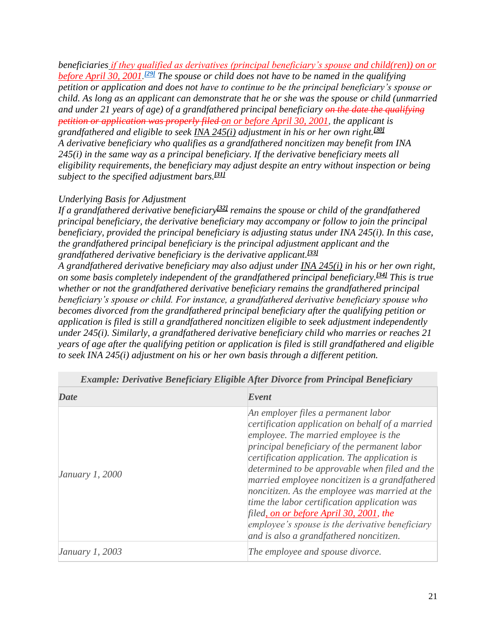*beneficiaries if they qualified as derivatives (principal beneficiary's spouse and child(ren)) on or before April 30, 2001. [\[29\]](https://www.uscis.gov/policy-manual/volume-7-part-c-chapter-2#footnote-29) The spouse or child does not have to be named in the qualifying petition or application and does not have to continue to be the principal beneficiary's spouse or child. As long as an applicant can demonstrate that he or she was the spouse or child (unmarried and under 21 years of age) of a grandfathered principal beneficiary on the date the qualifying petition or application was properly filed on or before April 30, 2001, the applicant is grandfathered and eligible to seek [INA 245\(i\)](https://uscode.house.gov/view.xhtml?req=granuleid:USC-prelim-title8-section1255&num=0&edition=prelim) adjustment in his or her own right.[\[30\]](https://www.uscis.gov/policy-manual/volume-7-part-c-chapter-2#footnote-30) A derivative beneficiary who qualifies as a grandfathered noncitizen may benefit from INA 245(i) in the same way as a principal beneficiary. If the derivative beneficiary meets all eligibility requirements, the beneficiary may adjust despite an entry without inspection or being subject to the specified adjustment bars.[\[31\]](https://www.uscis.gov/policy-manual/volume-7-part-c-chapter-2#footnote-31)*

#### *Underlying Basis for Adjustment*

*If a grandfathered derivative beneficiary[\[32\]](https://www.uscis.gov/policy-manual/volume-7-part-c-chapter-2#footnote-32) remains the spouse or child of the grandfathered principal beneficiary, the derivative beneficiary may accompany or follow to join the principal beneficiary, provided the principal beneficiary is adjusting status under INA 245(i). In this case, the grandfathered principal beneficiary is the principal adjustment applicant and the grandfathered derivative beneficiary is the derivative applicant.[\[33\]](https://www.uscis.gov/policy-manual/volume-7-part-c-chapter-2#footnote-33) A grandfathered derivative beneficiary may also adjust under [INA 245\(i\)](https://uscode.house.gov/view.xhtml?req=granuleid:USC-prelim-title8-section1255&num=0&edition=prelim) in his or her own right, on some basis completely independent of the grandfathered principal beneficiary.[\[34\]](https://www.uscis.gov/policy-manual/volume-7-part-c-chapter-2#footnote-34) This is true whether or not the grandfathered derivative beneficiary remains the grandfathered principal beneficiary's spouse or child. For instance, a grandfathered derivative beneficiary spouse who becomes divorced from the grandfathered principal beneficiary after the qualifying petition or application is filed is still a grandfathered noncitizen eligible to seek adjustment independently under 245(i). Similarly, a grandfathered derivative beneficiary child who marries or reaches 21 years of age after the qualifying petition or application is filed is still grandfathered and eligible to seek INA 245(i) adjustment on his or her own basis through a different petition.*

| <b>Date</b>            | Event                                                                                                                                                                                                                                                                                                                                                                                                                                                                                                                                                                            |  |
|------------------------|----------------------------------------------------------------------------------------------------------------------------------------------------------------------------------------------------------------------------------------------------------------------------------------------------------------------------------------------------------------------------------------------------------------------------------------------------------------------------------------------------------------------------------------------------------------------------------|--|
| <i>January 1, 2000</i> | An employer files a permanent labor<br>certification application on behalf of a married<br>employee. The married employee is the<br>principal beneficiary of the permanent labor<br>certification application. The application is<br>determined to be approvable when filed and the<br>married employee noncitizen is a grandfathered<br>noncitizen. As the employee was married at the<br>time the labor certification application was<br>filed, on or before April 30, 2001, the<br>employee's spouse is the derivative beneficiary<br>and is also a grandfathered noncitizen. |  |
| <i>January 1, 2003</i> | The employee and spouse divorce.                                                                                                                                                                                                                                                                                                                                                                                                                                                                                                                                                 |  |

*Example: Derivative Beneficiary Eligible After Divorce from Principal Beneficiary*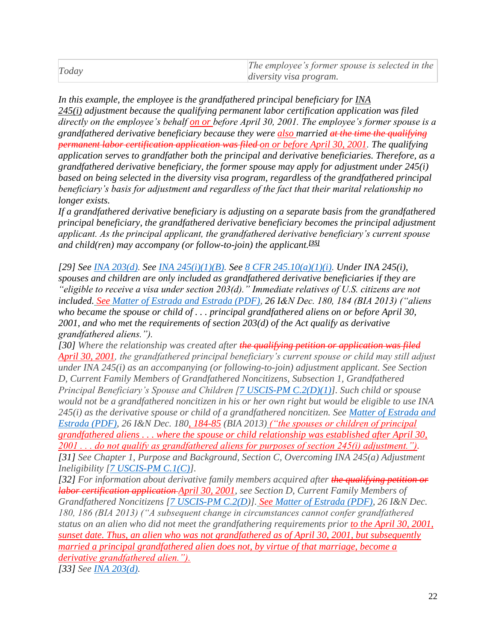| Today | The employee's former spouse is selected in the |
|-------|-------------------------------------------------|
|       | <i>diversity visa program.</i>                  |

*In this example, the employee is the grandfathered principal beneficiary for [INA](https://uscode.house.gov/view.xhtml?req=granuleid:USC-prelim-title8-section1255&num=0&edition=prelim)  [245\(i\)](https://uscode.house.gov/view.xhtml?req=granuleid:USC-prelim-title8-section1255&num=0&edition=prelim) adjustment because the qualifying permanent labor certification application was filed directly on the employee's behalf on or before April 30, 2001. The employee's former spouse is a grandfathered derivative beneficiary because they were also married at the time the qualifying permanent labor certification application was filed on or before April 30, 2001. The qualifying application serves to grandfather both the principal and derivative beneficiaries. Therefore, as a grandfathered derivative beneficiary, the former spouse may apply for adjustment under 245(i) based on being selected in the diversity visa program, regardless of the grandfathered principal beneficiary's basis for adjustment and regardless of the fact that their marital relationship no longer exists.*

*If a grandfathered derivative beneficiary is adjusting on a separate basis from the grandfathered principal beneficiary, the grandfathered derivative beneficiary becomes the principal adjustment applicant. As the principal applicant, the grandfathered derivative beneficiary's current spouse and child(ren) may accompany (or follow-to-join) the applicant.[\[35\]](https://www.uscis.gov/policy-manual/volume-7-part-c-chapter-2#footnote-35)*

*[29] See [INA 203\(d\).](https://uscode.house.gov/view.xhtml?req=granuleid:USC-prelim-title8-section1153&num=0&edition=prelim) See [INA 245\(i\)\(1\)\(B\).](https://uscode.house.gov/view.xhtml?req=granuleid:USC-prelim-title8-section1255&num=0&edition=prelim) See [8 CFR 245.10\(a\)\(1\)\(i\).](https://www.ecfr.gov/cgi-bin/text-idx?node=se8.1.245_110) Under INA 245(i), spouses and children are only included as grandfathered derivative beneficiaries if they are "eligible to receive a visa under section 203(d)." Immediate relatives of U.S. citizens are not included. See [Matter of Estrada and Estrada \(PDF\),](https://www.justice.gov/sites/default/files/eoir/legacy/2014/07/25/3790.pdf) 26 I&N Dec. 180, 184 (BIA 2013) ("aliens who became the spouse or child of . . . principal grandfathered aliens on or before April 30, 2001, and who met the requirements of section 203(d) of the Act qualify as derivative grandfathered aliens.").*

*[30] Where the relationship was created after the qualifying petition or application was filed April 30, 2001, the grandfathered principal beneficiary's current spouse or child may still adjust under INA 245(i) as an accompanying (or following-to-join) adjustment applicant. See Section D, Current Family Members of Grandfathered Noncitizens, Subsection 1, Grandfathered Principal Beneficiary's Spouse and Children [\[7 USCIS-PM C.2\(D\)\(1\)\]](https://www.uscis.gov/policy-manual/volume-7-part-c-chapter-2#S-D-1). Such child or spouse would not be a grandfathered noncitizen in his or her own right but would be eligible to use INA 245(i) as the derivative spouse or child of a grandfathered noncitizen. See [Matter of Estrada and](https://www.justice.gov/sites/default/files/eoir/legacy/2014/07/25/3790.pdf)  [Estrada \(PDF\),](https://www.justice.gov/sites/default/files/eoir/legacy/2014/07/25/3790.pdf) 26 I&N Dec. 180, 184-85 (BIA 2013) ("the spouses or children of principal grandfathered aliens . . . where the spouse or child relationship was established after April 30, 2001 . . . do not qualify as grandfathered aliens for purposes of section 245(i) adjustment."). [31] See Chapter 1, Purpose and Background, Section C, Overcoming INA 245(a) Adjustment Ineligibility [\[7 USCIS-PM C.1\(C\)\]](https://www.uscis.gov/policy-manual/volume-7-part-c-chapter-1#S-C).*

*[32] For information about derivative family members acquired after the qualifying petition or labor certification application April 30, 2001, see Section D, Current Family Members of Grandfathered Noncitizens [\[7 USCIS-PM C.2\(D\)](https://www.uscis.gov/policy-manual/volume-7-part-c-chapter-2#S-D)]. See [Matter of Estrada \(PDF\),](https://www.justice.gov/sites/default/files/eoir/legacy/2014/07/25/3790.pdf) 26 I&N Dec. 180, 186 (BIA 2013) ("A subsequent change in circumstances cannot confer grandfathered status on an alien who did not meet the grandfathering requirements prior to the April 30, 2001, sunset date. Thus, an alien who was not grandfathered as of April 30, 2001, but subsequently married a principal grandfathered alien does not, by virtue of that marriage, become a derivative grandfathered alien.").*

*[33] See [INA 203\(d\).](https://uscode.house.gov/view.xhtml?req=granuleid:USC-prelim-title8-section1153&num=0&edition=prelim)*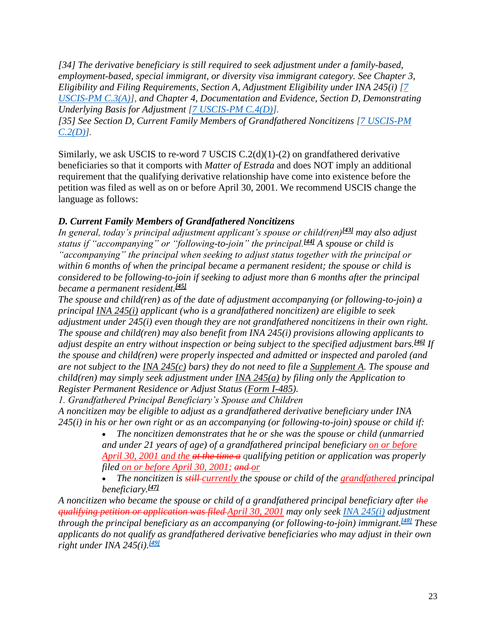*[34] The derivative beneficiary is still required to seek adjustment under a family-based, employment-based, special immigrant, or diversity visa immigrant category. See Chapter 3, Eligibility and Filing Requirements, Section A, Adjustment Eligibility under INA 245(i) [\[7](https://www.uscis.gov/policy-manual/volume-7-part-c-chapter-3#S-A)  [USCIS-PM C.3\(A\)\]](https://www.uscis.gov/policy-manual/volume-7-part-c-chapter-3#S-A), and Chapter 4, Documentation and Evidence, Section D, Demonstrating Underlying Basis for Adjustment [\[7 USCIS-PM C.4\(D\)\]](https://www.uscis.gov/policy-manual/volume-7-part-c-chapter-4#S-D).*

*[35] See Section D, Current Family Members of Grandfathered Noncitizens [\[7 USCIS-PM](https://www.uscis.gov/policy-manual/volume-7-part-c-chapter-2#S-D)  [C.2\(D\)\]](https://www.uscis.gov/policy-manual/volume-7-part-c-chapter-2#S-D).*

Similarly, we ask USCIS to re-word 7 USCIS  $C.2(d)(1)-(2)$  on grandfathered derivative beneficiaries so that it comports with *Matter of Estrada* and does NOT imply an additional requirement that the qualifying derivative relationship have come into existence before the petition was filed as well as on or before April 30, 2001. We recommend USCIS change the language as follows:

### *D. Current Family Members of Grandfathered Noncitizens*

*In general, today's principal adjustment applicant's spouse or child(ren)[\[43\]](https://www.uscis.gov/policy-manual/volume-7-part-c-chapter-2#footnote-43) may also adjust status if "accompanying" or "following-to-join" the principal.[\[44\]](https://www.uscis.gov/policy-manual/volume-7-part-c-chapter-2#footnote-44) A spouse or child is "accompanying" the principal when seeking to adjust status together with the principal or within 6 months of when the principal became a permanent resident; the spouse or child is considered to be following-to-join if seeking to adjust more than 6 months after the principal became a permanent resident.[\[45\]](https://www.uscis.gov/policy-manual/volume-7-part-c-chapter-2#footnote-45)*

*The spouse and child(ren) as of the date of adjustment accompanying (or following-to-join) a principal [INA 245\(i\)](https://uscode.house.gov/view.xhtml?req=granuleid:USC-prelim-title8-section1255&num=0&edition=prelim) applicant (who is a grandfathered noncitizen) are eligible to seek adjustment under 245(i) even though they are not grandfathered noncitizens in their own right. The spouse and child(ren) may also benefit from INA 245(i) provisions allowing applicants to adjust despite an entry without inspection or being subject to the specified adjustment bars.[\[46\]](https://www.uscis.gov/policy-manual/volume-7-part-c-chapter-2#footnote-46) If the spouse and child(ren) were properly inspected and admitted or inspected and paroled (and are not subject to the [INA 245\(c\)](https://uscode.house.gov/view.xhtml?req=granuleid:USC-prelim-title8-section1255&num=0&edition=prelim) bars) they do not need to file a [Supplement A.](https://www.uscis.gov/i-485supa) The spouse and child(ren) may simply seek adjustment under [INA 245\(a\)](https://uscode.house.gov/view.xhtml?req=granuleid:USC-prelim-title8-section1255&num=0&edition=prelim) by filing only the Application to Register Permanent Residence or Adjust Status [\(Form I-485\)](https://www.uscis.gov/i-485).*

*1. Grandfathered Principal Beneficiary's Spouse and Children*

*A noncitizen may be eligible to adjust as a grandfathered derivative beneficiary under INA 245(i) in his or her own right or as an accompanying (or following-to-join) spouse or child if:*

• *The noncitizen demonstrates that he or she was the spouse or child (unmarried and under 21 years of age) of a grandfathered principal beneficiary on or before April 30, 2001 and the at the time a qualifying petition or application was properly filed on or before April 30, 2001; and or*

• *The noncitizen is still currently the spouse or child of the grandfathered principal beneficiary.[\[47\]](https://www.uscis.gov/policy-manual/volume-7-part-c-chapter-2#footnote-47)*

*A noncitizen who became the spouse or child of a grandfathered principal beneficiary after the qualifying petition or application was filed April 30, 2001 may only seek [INA 245\(i\)](https://uscode.house.gov/view.xhtml?req=granuleid:USC-prelim-title8-section1255&num=0&edition=prelim) adjustment through the principal beneficiary as an accompanying (or following-to-join) immigrant.[\[48\]](https://www.uscis.gov/policy-manual/volume-7-part-c-chapter-2#footnote-48) These applicants do not qualify as grandfathered derivative beneficiaries who may adjust in their own right under INA 245(i).[\[49\]](https://www.uscis.gov/policy-manual/volume-7-part-c-chapter-2#footnote-49)*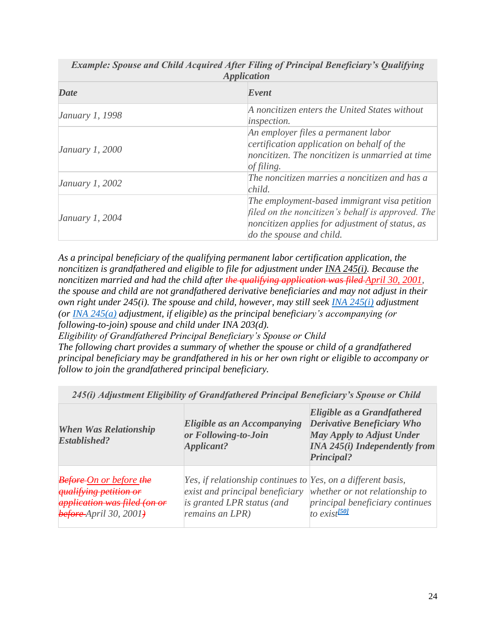| <i>Application</i>     |                                                                                                                                                                                  |  |  |
|------------------------|----------------------------------------------------------------------------------------------------------------------------------------------------------------------------------|--|--|
| <b>Date</b>            | Event                                                                                                                                                                            |  |  |
| January 1, 1998        | A noncitizen enters the United States without<br><i>inspection.</i>                                                                                                              |  |  |
| <i>January 1, 2000</i> | An employer files a permanent labor<br>certification application on behalf of the<br>noncitizen. The noncitizen is unmarried at time<br>of filing.                               |  |  |
| January 1, 2002        | The noncitizen marries a noncitizen and has a<br>child.                                                                                                                          |  |  |
| <i>January 1, 2004</i> | The employment-based immigrant visa petition<br>filed on the noncitizen's behalf is approved. The<br>noncitizen applies for adjustment of status, as<br>do the spouse and child. |  |  |

*Example: Spouse and Child Acquired After Filing of Principal Beneficiary's Qualifying Application*

*As a principal beneficiary of the qualifying permanent labor certification application, the noncitizen is grandfathered and eligible to file for adjustment under [INA 245\(i\).](https://uscode.house.gov/view.xhtml?req=granuleid:USC-prelim-title8-section1255&num=0&edition=prelim) Because the noncitizen married and had the child after the qualifying application was filed April 30, 2001, the spouse and child are not grandfathered derivative beneficiaries and may not adjust in their own right under 245(i). The spouse and child, however, may still seek [INA 245\(i\)](https://uscode.house.gov/view.xhtml?req=granuleid:USC-prelim-title8-section1255&num=0&edition=prelim) adjustment (or [INA 245\(a\)](https://uscode.house.gov/view.xhtml?req=granuleid:USC-prelim-title8-section1255&num=0&edition=prelim) adjustment, if eligible) as the principal beneficiary's accompanying (or following-to-join) spouse and child under INA 203(d). Eligibility of Grandfathered Principal Beneficiary's Spouse or Child*

*The following chart provides a summary of whether the spouse or child of a grandfathered principal beneficiary may be grandfathered in his or her own right or eligible to accompany or follow to join the grandfathered principal beneficiary.*

| <b>When Was Relationship</b><br><b>Established?</b>                                                                   | Eligible as an Accompanying<br>or Following-to-Join<br>Applicant?                                                                                | Eligible as a Grandfathered<br><b>Derivative Beneficiary Who</b><br><b>May Apply to Adjust Under</b><br><b>INA 245(i) Independently from</b><br>Principal? |
|-----------------------------------------------------------------------------------------------------------------------|--------------------------------------------------------------------------------------------------------------------------------------------------|------------------------------------------------------------------------------------------------------------------------------------------------------------|
| <b>Before</b> -On or before the<br>qualifying petition or<br>application was filed (on or<br>$before$ April 30, 2001+ | Yes, if relationship continues to Yes, on a different basis,<br>exist and principal beneficiary<br>is granted LPR status (and<br>remains an LPR) | whether or not relationship to<br>principal beneficiary continues<br>to exist <sup>[50]</sup>                                                              |

*245(i) Adjustment Eligibility of Grandfathered Principal Beneficiary's Spouse or Child*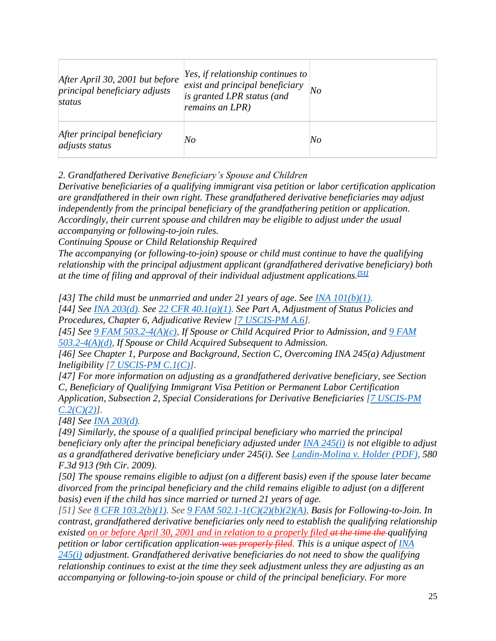| After April 30, 2001 but before<br>principal beneficiary adjusts<br>status | Yes, if relationship continues to<br>exist and principal beneficiary<br>is granted LPR status (and<br>remains an LPR) | No |
|----------------------------------------------------------------------------|-----------------------------------------------------------------------------------------------------------------------|----|
| After principal beneficiary<br><i>adjusts status</i>                       | No                                                                                                                    | No |

*2. Grandfathered Derivative Beneficiary's Spouse and Children*

*Derivative beneficiaries of a qualifying immigrant visa petition or labor certification application are grandfathered in their own right. These grandfathered derivative beneficiaries may adjust independently from the principal beneficiary of the grandfathering petition or application. Accordingly, their current spouse and children may be eligible to adjust under the usual accompanying or following-to-join rules.*

*Continuing Spouse or Child Relationship Required*

*The accompanying (or following-to-join) spouse or child must continue to have the qualifying relationship with the principal adjustment applicant (grandfathered derivative beneficiary) both at the time of filing and approval of their individual adjustment applications. [\[51\]](https://www.uscis.gov/policy-manual/volume-7-part-c-chapter-2#footnote-51)*

*[43] The child must be unmarried and under 21 years of age. See [INA 101\(b\)\(1\).](https://uscode.house.gov/view.xhtml?req=granuleid:USC-prelim-title8-section1101&num=0&edition=prelim)*

*[44] See [INA 203\(d\).](https://uscode.house.gov/view.xhtml?req=granuleid:USC-prelim-title8-section1153&num=0&edition=prelim) See [22 CFR 40.1\(a\)\(1\).](https://www.ecfr.gov/cgi-bin/text-idx?node=se22.1.40_11) See Part A, Adjustment of Status Policies and Procedures, Chapter 6, Adjudicative Review [\[7 USCIS-PM A.6\]](https://www.uscis.gov/policy-manual/volume-7-part-a-chapter-6).*

*[45] See [9 FAM 503.2-4\(A\)\(c\),](https://fam.state.gov/FAM/09FAM/09FAM050302.html) If Spouse or Child Acquired Prior to Admission, and [9 FAM](https://fam.state.gov/FAM/09FAM/09FAM050302.html)  [503.2-4\(A\)\(d\),](https://fam.state.gov/FAM/09FAM/09FAM050302.html) If Spouse or Child Acquired Subsequent to Admission.*

*[46] See Chapter 1, Purpose and Background, Section C, Overcoming INA 245(a) Adjustment Ineligibility [\[7 USCIS-PM C.1\(C\)\]](https://www.uscis.gov/policy-manual/volume-7-part-c-chapter-1#S-C).*

*[47] For more information on adjusting as a grandfathered derivative beneficiary, see Section C, Beneficiary of Qualifying Immigrant Visa Petition or Permanent Labor Certification Application, Subsection 2, Special Considerations for Derivative Beneficiaries [\[7 USCIS-PM](https://www.uscis.gov/policy-manual/volume-7-part-c-chapter-2#S-C-2)  [C.2\(C\)\(2\)\]](https://www.uscis.gov/policy-manual/volume-7-part-c-chapter-2#S-C-2).*

*[48] See [INA 203\(d\).](https://uscode.house.gov/view.xhtml?req=granuleid:USC-prelim-title8-section1153&num=0&edition=prelim)*

*[49] Similarly, the spouse of a qualified principal beneficiary who married the principal beneficiary only after the principal beneficiary adjusted under [INA 245\(i\)](https://uscode.house.gov/view.xhtml?req=granuleid:USC-prelim-title8-section1255&num=0&edition=prelim) is not eligible to adjust as a grandfathered derivative beneficiary under 245(i). See [Landin-Molina v. Holder \(PDF\),](http://www.ca9.uscourts.gov/datastore/opinions/2009/09/01/05-73677.pdf) 580 F.3d 913 (9th Cir. 2009).*

*[50] The spouse remains eligible to adjust (on a different basis) even if the spouse later became divorced from the principal beneficiary and the child remains eligible to adjust (on a different basis) even if the child has since married or turned 21 years of age.*

*[51] See [8 CFR 103.2\(b\)\(1\).](https://www.ecfr.gov/cgi-bin/text-idx?node=se8.1.103_12) See [9 FAM 502.1-1\(C\)\(2\)\(b\)\(2\)\(A\),](https://fam.state.gov/FAM/09FAM/09FAM050201.html) Basis for Following-to-Join. In contrast, grandfathered derivative beneficiaries only need to establish the qualifying relationship existed on or before April 30, 2001 and in relation to a properly filed at the time the qualifying petition or labor certification application was properly filed. This is a unique aspect of [INA](https://uscode.house.gov/view.xhtml?req=granuleid:USC-prelim-title8-section1255&num=0&edition=prelim)  [245\(i\)](https://uscode.house.gov/view.xhtml?req=granuleid:USC-prelim-title8-section1255&num=0&edition=prelim) adjustment. Grandfathered derivative beneficiaries do not need to show the qualifying relationship continues to exist at the time they seek adjustment unless they are adjusting as an accompanying or following-to-join spouse or child of the principal beneficiary. For more*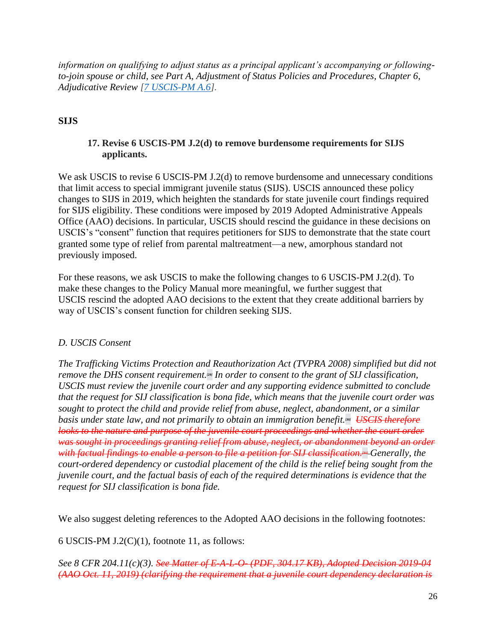*information on qualifying to adjust status as a principal applicant's accompanying or followingto-join spouse or child, see Part A, Adjustment of Status Policies and Procedures, Chapter 6, Adjudicative Review [\[7 USCIS-PM A.6\]](https://www.uscis.gov/policy-manual/volume-7-part-a-chapter-6).*

## <span id="page-25-1"></span><span id="page-25-0"></span>**SIJS**

## **17. Revise 6 USCIS-PM J.2(d) to remove burdensome requirements for SIJS applicants.**

We ask USCIS to revise 6 USCIS-PM J.2(d) to remove burdensome and unnecessary conditions that limit access to special immigrant juvenile status (SIJS). USCIS announced these policy changes to SIJS in 2019, which heighten the standards for state juvenile court findings required for SIJS eligibility. These conditions were imposed by 2019 Adopted Administrative Appeals Office (AAO) decisions. In particular, USCIS should rescind the guidance in these decisions on USCIS's "consent" function that requires petitioners for SIJS to demonstrate that the state court granted some type of relief from parental maltreatment—a new, amorphous standard not previously imposed.

For these reasons, we ask USCIS to make the following changes to 6 USCIS-PM J.2(d). To make these changes to the Policy Manual more meaningful, we further suggest that USCIS rescind the adopted AAO decisions to the extent that they create additional barriers by way of USCIS's consent function for children seeking SIJS.

### *D. USCIS Consent*

*The Trafficking Victims Protection and Reauthorization Act (TVPRA 2008) simplified but did not remove the DHS consent requirement[.](https://www.uscis.gov/policy-manual/volume-6-part-j-chapter-2#footnote-29)[29] In order to consent to the grant of SIJ classification, USCIS must review the juvenile court order and any supporting evidence submitted to conclude that the request for SIJ classification is bona fide, which means that the juvenile court order was sought to protect the child and provide relief from abuse, neglect, abandonment, or a similar basis under state law, and not primarily to obtain an immigration benefit[.](https://www.uscis.gov/policy-manual/volume-6-part-j-chapter-2#footnote-30)<sup>[30]</sup> USCIS therefore looks to the nature and purpose of the juvenile court proceedings and whether the court order was sought in proceedings granting relief from abuse, neglect, or abandonment beyond an order with factual findings to enable a person to file a petition for SIJ classification[.](https://www.uscis.gov/policy-manual/volume-6-part-j-chapter-2#footnote-31)<sup>434</sup> Generally, the court-ordered dependency or custodial placement of the child is the relief being sought from the juvenile court, and the factual basis of each of the required determinations is evidence that the request for SIJ classification is bona fide.*

We also suggest deleting references to the Adopted AAO decisions in the following footnotes:

6 USCIS-PM  $J.2(C)(1)$ , footnote 11, as follows:

*See 8 CFR 204.11(c)(3). See Matter of E-A-L-O- (PDF, 304.17 KB), Adopted Decision 2019-04 (AAO Oct. 11, 2019) (clarifying the requirement that a juvenile court dependency declaration is*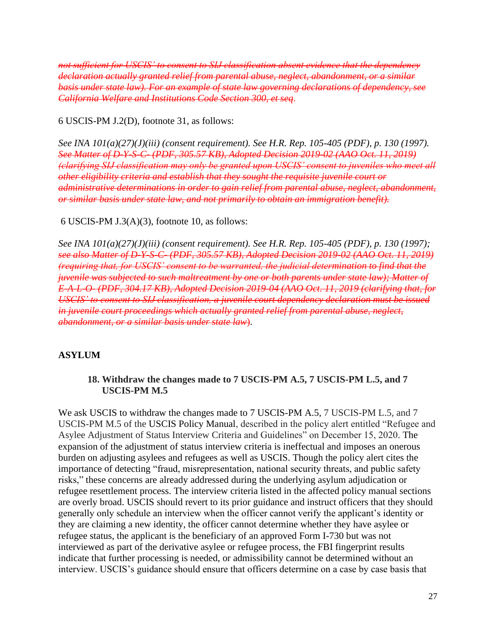*not sufficient for USCIS' to consent to SIJ classification absent evidence that the dependency declaration actually granted relief from parental abuse, neglect, abandonment, or a similar basis under state law). For an example of state law governing declarations of dependency, see California Welfare and Institutions Code Section 300, et seq.*

6 USCIS-PM J.2(D), footnote 31, as follows:

*See INA 101(a)(27)(J)(iii) (consent requirement). See H.R. Rep. 105-405 (PDF), p. 130 (1997). See Matter of D-Y-S-C- (PDF, 305.57 KB), Adopted Decision 2019-02 (AAO Oct. 11, 2019) (clarifying SIJ classification may only be granted upon USCIS' consent to juveniles who meet all other eligibility criteria and establish that they sought the requisite juvenile court or administrative determinations in order to gain relief from parental abuse, neglect, abandonment, or similar basis under state law, and not primarily to obtain an immigration benefit).*

6 USCIS-PM J.3(A)(3), footnote 10, as follows:

*See INA 101(a)(27)(J)(iii) (consent requirement). See H.R. Rep. 105-405 (PDF), p. 130 (1997); see also Matter of D-Y-S-C- (PDF, 305.57 KB), Adopted Decision 2019-02 (AAO Oct. 11, 2019) (requiring that, for USCIS' consent to be warranted, the judicial determination to find that the juvenile was subjected to such maltreatment by one or both parents under state law); Matter of E-A-L-O- (PDF, 304.17 KB), Adopted Decision 2019-04 (AAO Oct. 11, 2019 (clarifying that, for USCIS' to consent to SIJ classification, a juvenile court dependency declaration must be issued in juvenile court proceedings which actually granted relief from parental abuse, neglect, abandonment, or a similar basis under state law*).

#### <span id="page-26-1"></span><span id="page-26-0"></span>**ASYLUM**

#### **18. Withdraw the changes made to 7 USCIS-PM A.5, 7 USCIS-PM L.5, and 7 USCIS-PM M.5**

We ask USCIS to withdraw the changes made to 7 USCIS-PM A.5, 7 USCIS-PM L.5, and 7 USCIS-PM M.5 of the USCIS Policy Manual, described in the policy alert entitled "Refugee and Asylee Adjustment of Status Interview Criteria and Guidelines" on December 15, 2020. The expansion of the adjustment of status interview criteria is ineffectual and imposes an onerous burden on adjusting asylees and refugees as well as USCIS. Though the policy alert cites the importance of detecting "fraud, misrepresentation, national security threats, and public safety risks," these concerns are already addressed during the underlying asylum adjudication or refugee resettlement process. The interview criteria listed in the affected policy manual sections are overly broad. USCIS should revert to its prior guidance and instruct officers that they should generally only schedule an interview when the officer cannot verify the applicant's identity or they are claiming a new identity, the officer cannot determine whether they have asylee or refugee status, the applicant is the beneficiary of an approved Form I-730 but was not interviewed as part of the derivative asylee or refugee process, the FBI fingerprint results indicate that further processing is needed, or admissibility cannot be determined without an interview. USCIS's guidance should ensure that officers determine on a case by case basis that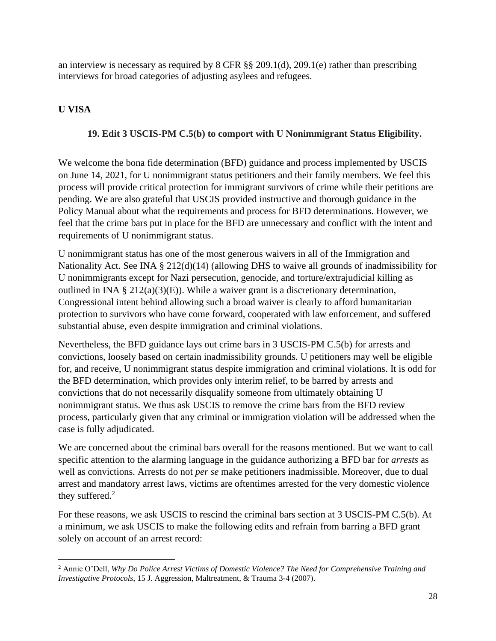an interview is necessary as required by  $8$  CFR  $\S$  $\S$   $209.1(d)$ ,  $209.1(e)$  rather than prescribing interviews for broad categories of adjusting asylees and refugees.

# <span id="page-27-1"></span><span id="page-27-0"></span>**U VISA**

## **19. Edit 3 USCIS-PM C.5(b) to comport with U Nonimmigrant Status Eligibility.**

We welcome the bona fide determination (BFD) guidance and process implemented by USCIS on June 14, 2021, for U nonimmigrant status petitioners and their family members. We feel this process will provide critical protection for immigrant survivors of crime while their petitions are pending. We are also grateful that USCIS provided instructive and thorough guidance in the Policy Manual about what the requirements and process for BFD determinations. However, we feel that the crime bars put in place for the BFD are unnecessary and conflict with the intent and requirements of U nonimmigrant status.

U nonimmigrant status has one of the most generous waivers in all of the Immigration and Nationality Act. See INA § 212(d)(14) (allowing DHS to waive all grounds of inadmissibility for U nonimmigrants except for Nazi persecution, genocide, and torture/extrajudicial killing as outlined in INA  $\S 212(a)(3)(E)$ . While a waiver grant is a discretionary determination, Congressional intent behind allowing such a broad waiver is clearly to afford humanitarian protection to survivors who have come forward, cooperated with law enforcement, and suffered substantial abuse, even despite immigration and criminal violations.

Nevertheless, the BFD guidance lays out crime bars in 3 USCIS-PM C.5(b) for arrests and convictions, loosely based on certain inadmissibility grounds. U petitioners may well be eligible for, and receive, U nonimmigrant status despite immigration and criminal violations. It is odd for the BFD determination, which provides only interim relief, to be barred by arrests and convictions that do not necessarily disqualify someone from ultimately obtaining U nonimmigrant status. We thus ask USCIS to remove the crime bars from the BFD review process, particularly given that any criminal or immigration violation will be addressed when the case is fully adjudicated.

We are concerned about the criminal bars overall for the reasons mentioned. But we want to call specific attention to the alarming language in the guidance authorizing a BFD bar for *arrests* as well as convictions. Arrests do not *per se* make petitioners inadmissible. Moreover, due to dual arrest and mandatory arrest laws, victims are oftentimes arrested for the very domestic violence they suffered.<sup>2</sup>

For these reasons, we ask USCIS to rescind the criminal bars section at 3 USCIS-PM C.5(b). At a minimum, we ask USCIS to make the following edits and refrain from barring a BFD grant solely on account of an arrest record:

<sup>2</sup> Annie O'Dell, *Why Do Police Arrest Victims of Domestic Violence? The Need for Comprehensive Training and Investigative Protocols*, 15 J. Aggression, Maltreatment, & Trauma 3-4 (2007).